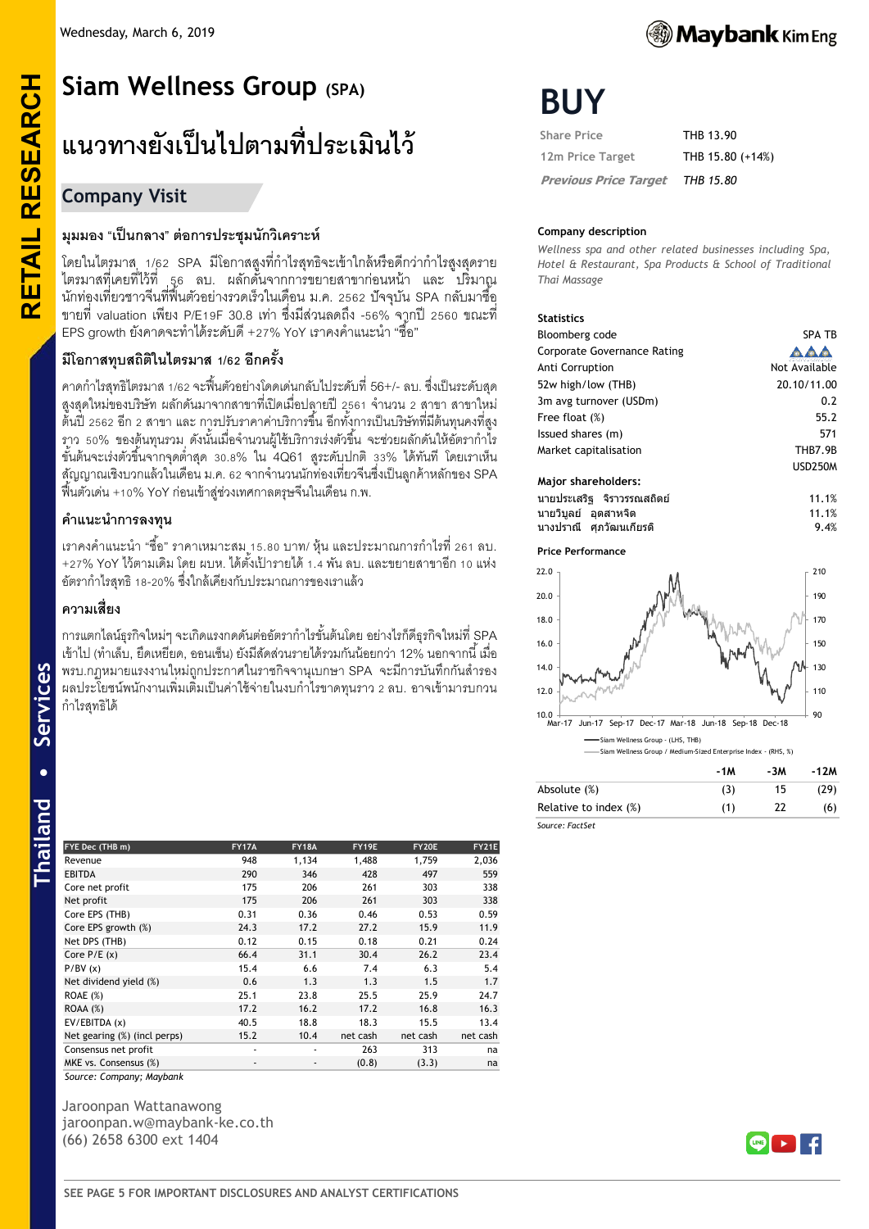

# **RETAIL RESEARCH Siam Wellness Group (SPA) แนวทางยังเป็ นไปตามที่ประเมินไว้**

# **Company Visit**

**RETAIL RESEARCH** 

# **มุมมอง "เป็ นกลาง" ต่อการประชุมนักวิเคราะห์**

โดยในไตรมาส 1/62 SPA มีโอกาสสูงที่กำไรสุทธิจะเข้าใกล้หรือดีกว่ากำไรสูงสุดราย ไตรมาสที่เคยที่ไว้ที่ 56 ลบ. ผลักดันจากการขยายสาขาก่อนหน้า และ ปริมาณ ่ นักท่องเที่ยวชาวจีนที่ฟื้นตัวอย่างรวดเร็วในเดือน ม.ค. 2562 ปัจจุบัน SPA กลับมาซื้อ ขายที่ valuation เพียง P/E19F 30.8 เท่า ซึ่งมีส่วนลดถึง -56% จากปี 2560 ขณะที่ EPS growth ยังคาดจะทำได้ระดับดี +27% YoY เราคงคำแนะนำ "ซื้อ"

# **มีโอกาสทุบสถิติในไตรมาส 1/62 อีกครั้ง**

คาดก าไรสุทธิไตรมาส 1/62 จะฟื ้นตัวอย่างโดดเด่นกลับไประดับที่56+/- ลบ.ซึ่งเป็ นระดับสุด ี สูงสุดใหม่ของบริษัท ผลักดันมาจากสาขาที่เปิดเมื่อปลายปี 2561 จำนวน 2 สาขา สาขาใหม่ ่ ต้นปี 2562 อีก 2 สาขา และ การปรับราคาค่าบริการขึ้น อีกทั้งการเป็นบริษัทที่มีต้นทุนคงที่สูง ิ ราว 50% ของต้นทุนรวม ดังนั้นเมื่อจำนวนผู้ใช้บริการเร่งตัวขึ้น จะช่วยผลักดันให้อัตรากำไร ์ ขั้นต้นจะเร่งตัวขึ้นจากจุดต่ำสุด 30.8% ใน 4Q61 สูระดับปกติ 33% ได้ทันที โดยเราเห็น ี สัญญาณเชิงบวกแล้วในเดือน ม.ค. 62 จากจำนวนนักท่องเที่ยวจีนซึ่งเป็นลกค้าหลักของ SPA ฟื ้นตัวเด่น +10% YoY ก่อนเข้าสู่ช่วงเทศกาลตรุษจีนในเดือน ก.พ.

# **ค าแนะน าการลงทุน**

ี เราคงคำแนะนำ "ซื้อ" ราคาเหมาะสม 15.80 บาท/ หุ้น และประมาณการกำไรที่ 261 ลบ. +27% YoY ไว้ตามเดิม โดย ผบห. ได้ตั้งเป้ารายได้ 1.4 พัน ลบ. และขยายสาขาอีก 10 แห่ง อัตราก าไรสุทธิ 1 -20% ซึ่งใกล้เคียงกับประมาณการของเราแล้ว

# **ความเสี่ยง**

การแตกไลน์ธุรกิจใหม่ๆ จะเกิดแรงกดดันต่ออัตราก าไรขั ้นต้นโดย อย่างไรก็ดีธุรกิจใหม่ที่ SPA ่ เข้าไป (ทำเล็บ, ยืดเหยี่ยด, ออนเซ็น) ยังมีสัดส่วนรายได้รวมกันน้อยกว่า 12% นอกจากนี้ เมื่อ พรบ.กฎหมายแรงงานใหม่ถูกประกาศในราชกิจจานุเบกษา SPA จะมีการบันทึกกันสำรอง ้ ผลประโยชน์พนักงานเพิ่มเติมเป็นค่าใช้จ่ายในงบกำไรขาดทุนราว 2 ลบ. อาจเข้ามารบกวน ก าไรสุทธิได้

| FYE Dec (THB m)              | <b>FY17A</b> | <b>FY18A</b> | FY19E    | <b>FY20E</b> | FY21E    |
|------------------------------|--------------|--------------|----------|--------------|----------|
| Revenue                      | 948          | 1,134        | 1,488    | 1,759        | 2,036    |
| <b>EBITDA</b>                | 290          | 346          | 428      | 497          | 559      |
| Core net profit              | 175          | 206          | 261      | 303          | 338      |
| Net profit                   | 175          | 206          | 261      | 303          | 338      |
| Core EPS (THB)               | 0.31         | 0.36         | 0.46     | 0.53         | 0.59     |
| Core EPS growth (%)          | 24.3         | 17.2         | 27.2     | 15.9         | 11.9     |
| Net DPS (THB)                | 0.12         | 0.15         | 0.18     | 0.21         | 0.24     |
| Core $P/E(x)$                | 66.4         | 31.1         | 30.4     | 26.2         | 23.4     |
| P/BV(x)                      | 15.4         | 6.6          | 7.4      | 6.3          | 5.4      |
| Net dividend yield (%)       | 0.6          | 1.3          | 1.3      | 1.5          | 1.7      |
| <b>ROAE</b> (%)              | 25.1         | 23.8         | 25.5     | 25.9         | 24.7     |
| ROAA(%)                      | 17.2         | 16.2         | 17.2     | 16.8         | 16.3     |
| EV/EBITDA (x)                | 40.5         | 18.8         | 18.3     | 15.5         | 13.4     |
| Net gearing (%) (incl perps) | 15.2         | 10.4         | net cash | net cash     | net cash |
| Consensus net profit         | ۰            | ۰            | 263      | 313          | na       |
| MKE vs. Consensus (%)        | ٠            |              | (0.8)    | (3.3)        | na       |

*Source: Company; Maybank*

Jaroonpan Wattanawong jaroonpan.w@maybank-ke.co.th (66) 2658 6300 ext 1404

# **BUY**

| <b>Share Price</b>           | THB 13.90        |
|------------------------------|------------------|
| 12m Price Target             | THB 15.80 (+14%) |
| <b>Previous Price Target</b> | THB 15.80        |

#### **Company description**

*Wellness spa and other related businesses including Spa, Hotel & Restaurant, Spa Products & School of Traditional Thai Massage*

#### **Statistics**

| Bloomberg code              | <b>SPA TB</b>  |
|-----------------------------|----------------|
| Corporate Governance Rating |                |
| Anti Corruption             | Not Available  |
| 52w high/low (THB)          | 20.10/11.00    |
| 3m avg turnover (USDm)      | 0.2            |
| Free float (%)              | 55.2           |
| Issued shares (m)           | 571            |
| Market capitalisation       | <b>THB7.9B</b> |
|                             | <b>USD250M</b> |
| Major shareholders:         |                |
| นายประเสริฐ จิราวรรณสถิตย์  | 11.1%          |

| ินายประเสรีฐ จีราวรรณสถิตย์ | 11.1% |
|-----------------------------|-------|
| ินายวิบลย์ อดสาหจิด         | 11.1% |
| ี นางปราณี   ศภวัฒนเกียรติ  | 9.4%  |

#### **Price Performance**



|                       | -1M | -3M | -12M |
|-----------------------|-----|-----|------|
| Absolute (%)          | (3) | 15  | (29) |
| Relative to index (%) | (1) | 22  | (6)  |
| Source: FactSet       |     |     |      |

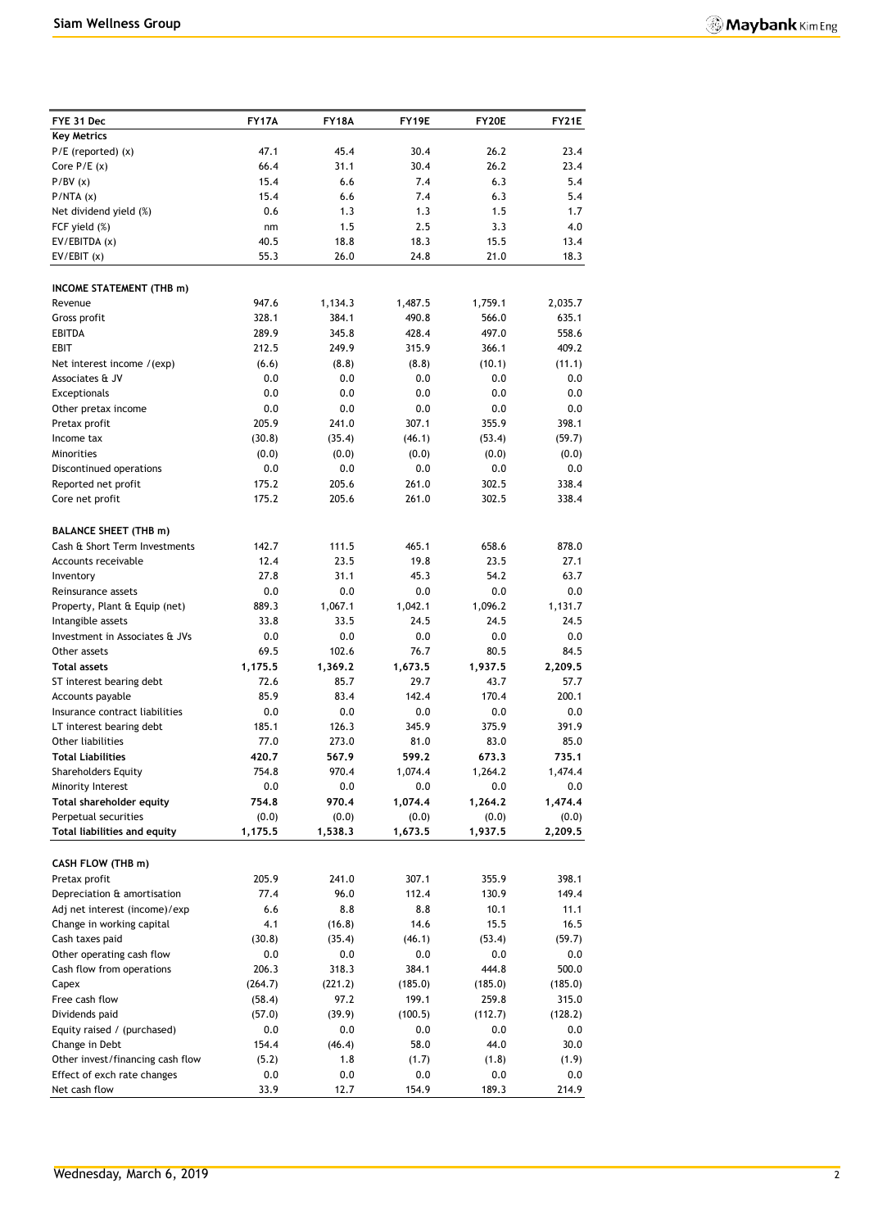| FYE 31 Dec                                                  | <b>FY17A</b>     | <b>FY18A</b>     | FY19E            | FY20E            | FY21E            |
|-------------------------------------------------------------|------------------|------------------|------------------|------------------|------------------|
| <b>Key Metrics</b>                                          |                  |                  |                  |                  |                  |
| $P/E$ (reported) $(x)$                                      | 47.1             | 45.4             | 30.4             | 26.2             | 23.4             |
| Core $P/E(x)$                                               | 66.4             | 31.1             | 30.4             | 26.2             | 23.4             |
| P/BV(x)                                                     | 15.4             | 6.6              | 7.4              | 6.3              | 5.4              |
| P/NTA(x)                                                    | 15.4             | 6.6              | 7.4              | 6.3              | 5.4              |
| Net dividend yield (%)                                      | 0.6              | 1.3              | 1.3              | 1.5              | 1.7              |
| FCF yield (%)                                               | nm               | 1.5              | 2.5              | 3.3              | 4.0              |
| EV/EBITDA (x)                                               | 40.5             | 18.8             | 18.3             | 15.5             | 13.4             |
| EV/EBIT(x)                                                  | 55.3             | 26.0             | 24.8             | 21.0             | 18.3             |
|                                                             |                  |                  |                  |                  |                  |
| INCOME STATEMENT (THB m)                                    |                  |                  |                  |                  |                  |
| Revenue                                                     | 947.6            | 1,134.3          | 1,487.5          | 1,759.1          | 2,035.7          |
| Gross profit                                                | 328.1            | 384.1            | 490.8            | 566.0            | 635.1            |
| <b>EBITDA</b>                                               | 289.9            | 345.8            | 428.4            | 497.0            | 558.6            |
| EBIT                                                        | 212.5            | 249.9            | 315.9            | 366.1            | 409.2            |
| Net interest income /(exp)                                  | (6.6)            | (8.8)            | (8.8)            | (10.1)           | (11.1)           |
| Associates & JV                                             | 0.0              | 0.0              | 0.0              | 0.0              | 0.0              |
| Exceptionals                                                | 0.0              | 0.0              | 0.0              | 0.0              | 0.0              |
| Other pretax income                                         | 0.0              | 0.0              | 0.0              | 0.0              | 0.0              |
| Pretax profit                                               | 205.9            | 241.0            | 307.1            | 355.9            | 398.1            |
| Income tax                                                  | (30.8)           | (35.4)           | (46.1)           | (53.4)           | (59.7)           |
| Minorities                                                  | (0.0)            | (0.0)            | (0.0)            | (0.0)            | (0.0)            |
| Discontinued operations                                     | 0.0              | 0.0              | 0.0              | 0.0              | 0.0              |
| Reported net profit                                         | 175.2            | 205.6            | 261.0            | 302.5            | 338.4            |
| Core net profit                                             | 175.2            | 205.6            | 261.0            | 302.5            | 338.4            |
|                                                             |                  |                  |                  |                  |                  |
| <b>BALANCE SHEET (THB m)</b>                                |                  |                  |                  |                  |                  |
| Cash & Short Term Investments                               | 142.7            | 111.5            | 465.1            | 658.6            | 878.0            |
| Accounts receivable                                         | 12.4             | 23.5             | 19.8             | 23.5             | 27.1             |
| Inventory                                                   | 27.8             | 31.1             | 45.3             | 54.2             | 63.7             |
| Reinsurance assets                                          | 0.0              | 0.0              | 0.0              | 0.0              | 0.0              |
| Property, Plant & Equip (net)                               | 889.3            | 1,067.1          | 1,042.1          | 1,096.2          | 1,131.7          |
| Intangible assets                                           | 33.8             | 33.5             | 24.5             | 24.5             | 24.5             |
| Investment in Associates & JVs                              | 0.0              | 0.0              | 0.0              | 0.0              | 0.0              |
| Other assets                                                | 69.5             | 102.6            | 76.7             | 80.5             | 84.5             |
| <b>Total assets</b>                                         | 1,175.5          | 1,369.2          | 1,673.5          | 1,937.5          | 2,209.5          |
| ST interest bearing debt                                    | 72.6             | 85.7             | 29.7             | 43.7             | 57.7             |
| Accounts payable                                            | 85.9             | 83.4             | 142.4            | 170.4            | 200.1            |
| Insurance contract liabilities                              | 0.0              | 0.0              | 0.0              | 0.0              | 0.0              |
| LT interest bearing debt                                    | 185.1            | 126.3            | 345.9            | 375.9            | 391.9            |
| Other liabilities                                           | 77.0             | 273.0            | 81.0             | 83.0             | 85.0             |
| <b>Total Liabilities</b>                                    | 420.7            | 567.9            | 599.2            | 673.3            | 735.1            |
| <b>Shareholders Equity</b>                                  | 754.8            | 970.4            | 1,074.4          | 1,264.2          | 1,474.4          |
| Minority Interest                                           | 0.0              | 0.0              | 0.0              | 0.0              | 0.0              |
| Total shareholder equity                                    | 754.8            | 970.4            | 1,074.4          | 1,264.2          | 1,474.4          |
| Perpetual securities<br><b>Total liabilities and equity</b> | (0.0)<br>1,175.5 | (0.0)<br>1,538.3 | (0.0)<br>1,673.5 | (0.0)<br>1,937.5 | (0.0)<br>2,209.5 |
|                                                             |                  |                  |                  |                  |                  |
| CASH FLOW (THB m)                                           |                  |                  |                  |                  |                  |
| Pretax profit                                               | 205.9            | 241.0            | 307.1            | 355.9            | 398.1            |
| Depreciation & amortisation                                 | 77.4             | 96.0             | 112.4            | 130.9            | 149.4            |
| Adj net interest (income)/exp                               | 6.6              | 8.8              | 8.8              | 10.1             | 11.1             |
| Change in working capital                                   | 4.1              | (16.8)           | 14.6             | 15.5             | 16.5             |
| Cash taxes paid                                             | (30.8)           | (35.4)           | (46.1)           | (53.4)           | (59.7)           |
| Other operating cash flow                                   | 0.0              | 0.0              | 0.0              | $0.0\,$          | 0.0              |
| Cash flow from operations                                   | 206.3            | 318.3            | 384.1            | 444.8            | 500.0            |
| Capex                                                       | (264.7)          | (221.2)          | (185.0)          | (185.0)          | (185.0)          |
| Free cash flow                                              | (58.4)           | 97.2             | 199.1            | 259.8            | 315.0            |
| Dividends paid                                              | (57.0)           | (39.9)           | (100.5)          | (112.7)          | (128.2)          |
| Equity raised / (purchased)                                 | 0.0              | 0.0              | 0.0              | 0.0              | 0.0              |
| Change in Debt                                              | 154.4            | (46.4)           | 58.0             | 44.0             | 30.0             |
| Other invest/financing cash flow                            | (5.2)            | 1.8              | (1.7)            | (1.8)            | (1.9)            |
| Effect of exch rate changes                                 | 0.0              | 0.0              | 0.0              | $0.0\,$          | 0.0              |
| Net cash flow                                               | 33.9             | 12.7             | 154.9            | 189.3            | 214.9            |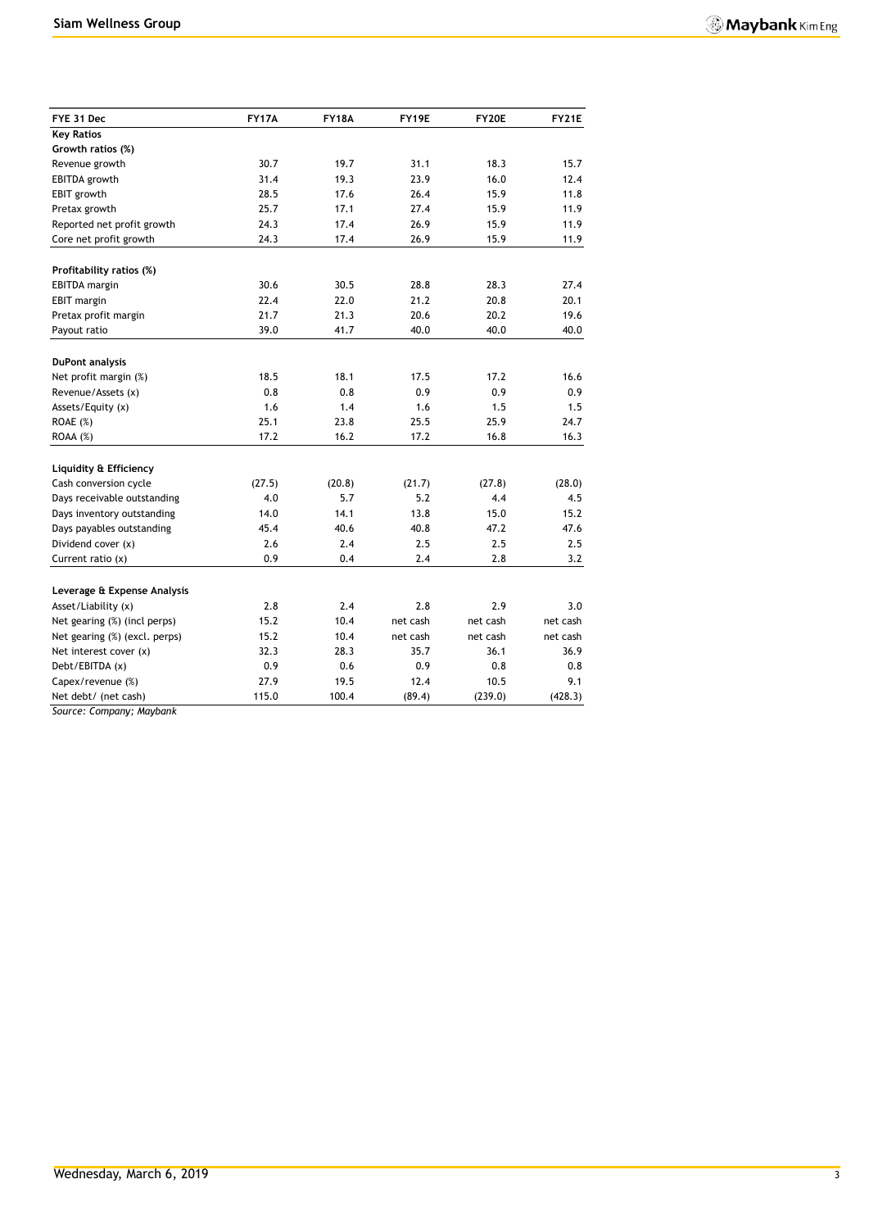| FYE 31 Dec                    | <b>FY17A</b> | <b>FY18A</b> | FY19E    | <b>FY20E</b> | <b>FY21E</b> |
|-------------------------------|--------------|--------------|----------|--------------|--------------|
| <b>Key Ratios</b>             |              |              |          |              |              |
| Growth ratios (%)             |              |              |          |              |              |
| Revenue growth                | 30.7         | 19.7         | 31.1     | 18.3         | 15.7         |
| EBITDA growth                 | 31.4         | 19.3         | 23.9     | 16.0         | 12.4         |
| EBIT growth                   | 28.5         | 17.6         | 26.4     | 15.9         | 11.8         |
| Pretax growth                 | 25.7         | 17.1         | 27.4     | 15.9         | 11.9         |
| Reported net profit growth    | 24.3         | 17.4         | 26.9     | 15.9         | 11.9         |
| Core net profit growth        | 24.3         | 17.4         | 26.9     | 15.9         | 11.9         |
| Profitability ratios (%)      |              |              |          |              |              |
| EBITDA margin                 | 30.6         | 30.5         | 28.8     | 28.3         | 27.4         |
| <b>EBIT</b> margin            | 22.4         | 22.0         | 21.2     | 20.8         | 20.1         |
| Pretax profit margin          | 21.7         | 21.3         | 20.6     | 20.2         | 19.6         |
| Payout ratio                  | 39.0         | 41.7         | 40.0     | 40.0         | 40.0         |
|                               |              |              |          |              |              |
| <b>DuPont analysis</b>        |              |              |          |              |              |
| Net profit margin (%)         | 18.5         | 18.1         | 17.5     | 17.2         | 16.6         |
| Revenue/Assets (x)            | 0.8          | 0.8          | 0.9      | 0.9          | 0.9          |
| Assets/Equity (x)             | 1.6          | 1.4          | 1.6      | 1.5          | 1.5          |
| ROAE (%)                      | 25.1         | 23.8         | 25.5     | 25.9         | 24.7         |
| $ROAA (\%)$                   | 17.2         | 16.2         | 17.2     | 16.8         | 16.3         |
| Liquidity & Efficiency        |              |              |          |              |              |
| Cash conversion cycle         | (27.5)       | (20.8)       | (21.7)   | (27.8)       | (28.0)       |
| Days receivable outstanding   | 4.0          | 5.7          | 5.2      | 4.4          | 4.5          |
| Days inventory outstanding    | 14.0         | 14.1         | 13.8     | 15.0         | 15.2         |
| Days payables outstanding     | 45.4         | 40.6         | 40.8     | 47.2         | 47.6         |
| Dividend cover (x)            | 2.6          | 2.4          | 2.5      | 2.5          | 2.5          |
| Current ratio $(x)$           | 0.9          | 0.4          | 2.4      | 2.8          | 3.2          |
|                               |              |              |          |              |              |
| Leverage & Expense Analysis   |              |              |          |              |              |
| Asset/Liability (x)           | 2.8          | 2.4          | 2.8      | 2.9          | 3.0          |
| Net gearing (%) (incl perps)  | 15.2         | 10.4         | net cash | net cash     | net cash     |
| Net gearing (%) (excl. perps) | 15.2         | 10.4         | net cash | net cash     | net cash     |
| Net interest cover (x)        | 32.3         | 28.3         | 35.7     | 36.1         | 36.9         |
| Debt/EBITDA (x)               | 0.9          | 0.6          | 0.9      | 0.8          | 0.8          |
| Capex/revenue (%)             | 27.9         | 19.5         | 12.4     | 10.5         | 9.1          |
| Net debt/ (net cash)          | 115.0        | 100.4        | (89.4)   | (239.0)      | (428.3)      |

*Source: Company; Maybank*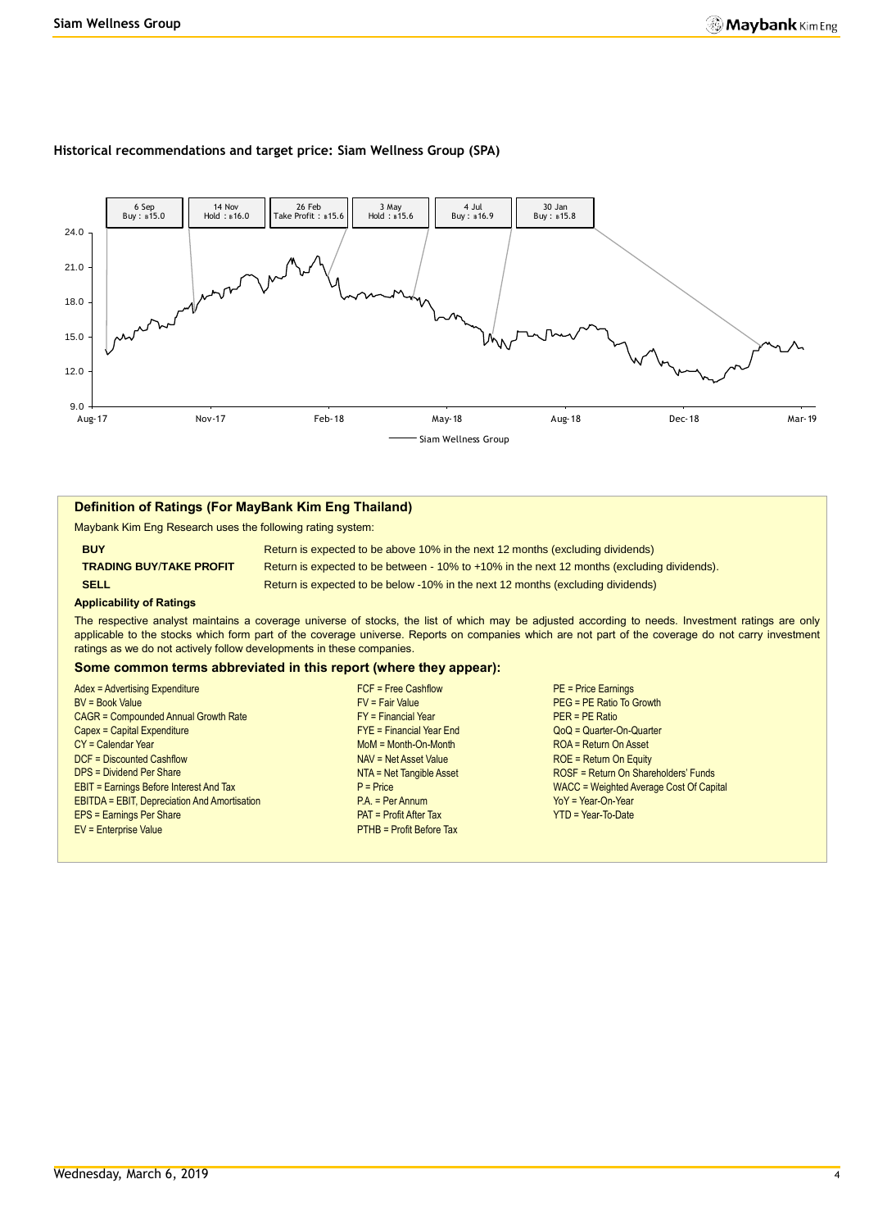#### **Historical recommendations and target price: Siam Wellness Group (SPA)**



#### **Definition of Ratings (For MayBank Kim Eng Thailand)**

Maybank Kim Eng Research uses the following rating system:

**BUY Return is expected to be above 10% in the next 12 months (excluding dividends) TRADING BUY**/**TAKE PROFIT** Return is expected to be between - 10% to +10% in the next 12 months (excluding dividends). **SELL Return is expected to be below -10% in the next 12 months (excluding dividends)** 

#### **Applicability of Ratings**

The respective analyst maintains a coverage universe of stocks, the list of which may be adjusted according to needs. Investment ratings are only applicable to the stocks which form part of the coverage universe. Reports on companies which are not part of the coverage do not carry investment ratings as we do not actively follow developments in these companies.

#### **Some common terms abbreviated in this report (where they appear):**

| Adex = Advertising Expenditure                      | $FCF = Free Cashflow$           | $PE = Price EarningS$                   |
|-----------------------------------------------------|---------------------------------|-----------------------------------------|
| <b>BV = Book Value</b>                              | $FV = Fair Value$               | PEG = PE Ratio To Growth                |
| <b>CAGR = Compounded Annual Growth Rate</b>         | $FY = Financial Year$           | $PER = PE Ratio$                        |
| Capex = Capital Expenditure                         | $FYE = Financial Year$ End      | $QoQ =$ Quarter-On-Quarter              |
| CY = Calendar Year                                  | $M \circ M = M \circ h$ -Month  | ROA = Return On Asset                   |
| DCF = Discounted Cashflow                           | NAV = Net Asset Value           | $ROE = Return On Equity$                |
| <b>DPS = Dividend Per Share</b>                     | NTA = Net Tangible Asset        | ROSF = Return On Shareholders' Funds    |
| <b>EBIT = Earnings Before Interest And Tax</b>      | $P = Price$                     | WACC = Weighted Average Cost Of Capital |
| <b>EBITDA = EBIT, Depreciation And Amortisation</b> | $PA = Per Annum$                | $YoY = Year-On-Year$                    |
| <b>EPS = Earnings Per Share</b>                     | $PAT = Profit After Tax$        | $YTD = Year-To-Date$                    |
| EV = Enterprise Value                               | <b>PTHB = Profit Before Tax</b> |                                         |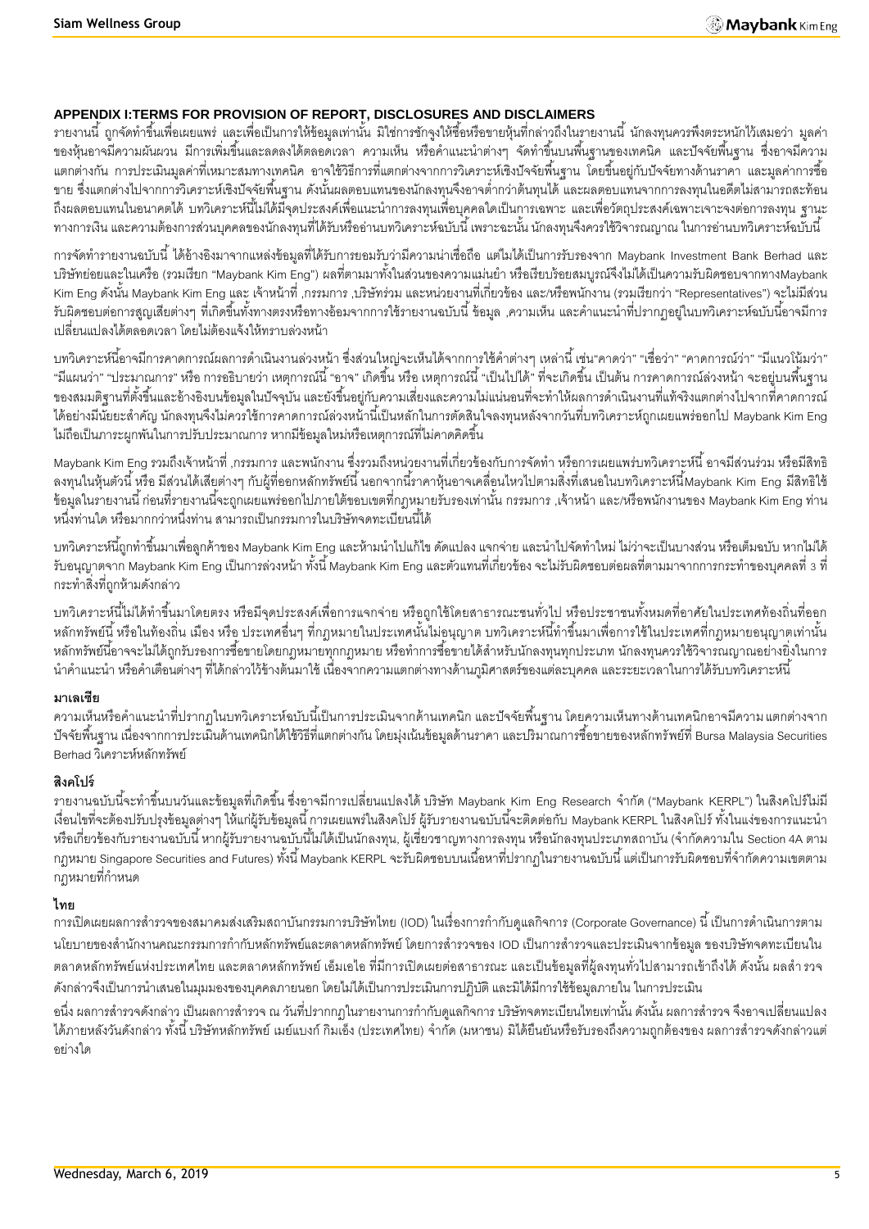# **APPENDIX I:TERMS FOR PROVISION OF REPORT, DISCLOSURES AND DISCLAIMERS**

้ รายงานนี้ ถูกจัดทำขึ้นเพื่อเผยแพร่ และเพื่อเป็นการให้ข้อมูลเท่านั้น มิใช่การชักจูงให้ซื้อหรือขายหุ้นที่กล่าวถึงในรายงานนี้ นักลงทุนควรพึงตระหนักไว้เสมอว่า มูลค่า ี ของหุ้นอาจมีความผันผวน มีการเพิ่มขึ้นและลดลงได้ตลอดเวลา ความเห็น หรือคำแนะนำต่างๆ จัดทำขึ้นบนพื้นฐานของเทคนิค และปัจจัยพื้นฐาน ซึ่งอาจมีความ ้ แตกต่างกัน การประเมินมูลค่าที่เหมาะสมทางเทคนิค อาจใช้วิธีการที่แตกต่างจากการวิเคราะห์เชิงปัจจัยพื้นฐาน โดยขึ้นอยู่กับปัจจัยทางด้านราคา และมูลค่าการซื้อ ่ ขาย ซึ่งแตกต่างไปจากการวิเคราะห์เชิงปัจจัยพื้นฐาน ดังนั้นผลตอบแทนของนักลงทุนจึงอาจต่ำกว่าต้นทุนได้ และผลตอบแทนจากการลงทุนในอดีตไม่สามารถสะท้อน ถึงผลตอบแทนในอนาคตได้ บทวิเคราะห์นี้ไม่ได้มีจุดประสงค์เพื่อแนะนำการลงทุนเพื่อบุคคลใดเป็นการเฉพาะ และเพื่อวัตถุประสงค์เฉพาะเจาะจงต่อการลงทุน ฐานะ ทางการเงิน และความต้องการส่วนบุคคลของนักลงทุนที่ได้รับหรืออ่านบทวิเคราะห์ฉบับนี้ เพราะฉะนั้น นักลงทุนจึงควรใช้วิจารณญาณ ในการอ่านบทวิเคราะห์ฉบับนี้

การจัดทำรายงานฉบับนี้ ได้อ้างอิงมาจากแหล่งข้อมูลที่ได้รับการยอมรับว่ามีความน่าเชื่อถือ แต่ไมได้เป็นการรับรองจาก Maybank Investment Bank Berhad และ บริษัทย่อยและในเครือ (รวมเรียก "Maybank Kim Eng") ผลที่ตามมาทั้งในส่วนของความแม่นยำ หรือเรียบร้อยสมบูรณ์จึงไม่ได้เป็นความรับผิดชอบจากทางMaybank Kim Eng ดังนั้น Maybank Kim Eng และ เจ้าหน้าที่ ,กรรมการ ,บริษัทร่วม และหน่วยงานที่เกี่ยวข้อง และ/หรือพนักงาน (รวมเรียกว่า "Representatives") จะไม่มีส่วน ้ รับผิดชอบต่อการสูญเสียต่างๆ ที่เกิดขึ้นทั้งทางตรงหรือทางอ้อมจากการใช้รายงานฉบับนี้ ข้อมูล ,ความเห็น และคำแนะนำที่ปรากฦอยู่ในบทวิเคราะห์ฉบับนี้อาจมีการ เปลี่ยนแปลงได้ตลอดเวลา โดยไม่ต้องแจ้งให้ทราบล่วงหน้า

้บทวิเคราะห์นี้อาจมีการคาดการณ์ผลการดำเนินงานล่วงหน้า ซึ่งส่วนใหญ่จะเห็นได้จากการใช้คำต่างๆ เหล่านี้ เช่น"คาดว่า" "เชื่อว่า" "คาดการณ์ว่า" "มีแนวโน้มว่า" "มีแผนว่า" "ประมาณการ" หรือ การอธิบายว่า เหตุการณ์นี้ "อาจ" เกิดขึ้น หรือ เหตุการณ์นี้ "เป็นไปได้" ที่จะเกิดขึ้น เป็นต้น การคาดการณ์ล่วงหน้า จะอยู่บนพื้นฐาน ของสมมติฐานที่ตั้งขึ้นและอ้างอิงบนข้อมูลในปัจจุบัน และยังขึ้นอยู่กับความเสี่ยงและความไม่แน่นอนที่จะทำให้ผลการดำเนินงานที่แท้จริงแตกต่างไปจากที่คาดการณ์ ได้อย่างมีนัยยะส าคัญ นักลงทุนจึงไม่ควรใช้การคาดการณ์ล่วงหน้านี ้เป็ นหลักในการตัดสินใจลงทุนหลังจากวันที่บทวิเคราะห์ถูกเผยแพร่ออกไป Maybank Kim Eng ไม่ถือเป็นภาระผูกพันในการปรับประมาณการ หากมีข้อมูลใหม่หรือเหตุการณ์ที่ไม่คาดคิดขึ้น

. Maybank Kim Eng รวมถึงเจ้าหน้าที่ ,กรรมการ และพนักงาน ซึ่งรวมถึงหน่วยงานที่เกี่ยวข้องกับการจัดทำ หรือการเผยแพร่บทวิเคราะห์นี้ อาจมีส่วนร่วม หรือมีสิทธิ ิ ลงทุนในหุ้นตัวนี้ หรือ มีส่วนได้เสียต่างๆ กับผู้ที่ออกหลักทรัพย์นี้ นอกจากนี้ราคาหุ้นอาจเคลื่อนไหวไปตามสิ่งที่เสนอในบทวิเคราะห์นี้Maybank Kim Eng มีสิทธิใช้ -ข้อมูลในรายงานนี้ ก่อนที่รายงานนี้จะถูกเผยแพร่ออกไปภายใต้ขอบเขตที่กฎหมายรับรองเท่านั้น กรรมการ ,เจ้าหน้า และ/หรือพนักงานของ Maybank Kim Eng ท่าน หนึ่งท่านใด หรือมากกว่าหนึ่งท่าน สามารถเป็นกรรมการในบริษัทจดทะเบียนนี้ได้

ี บทวิเคราะห์นี้ถูกทำขึ้นมาเพื่อลูกค้าของ Maybank Kim Eng และห้ามนำไปแก้ไข ดัดแปลง แจกจ่าย และนำไปจัดทำใหม่ ไม่ว่าจะเป็นบางส่วน หรือเต็มฉบับ หากไม่ได้ รับอนุญาตจาก Maybank Kim Eng เป็นการล่วงหน้า ทั้งนี้ Maybank Kim Eng และตัวแทนที่เกี่ยวข้อง จะไม่รับผิดชอบต่อผลที่ตามมาจากการกระทำของบุคคลที่ 3 ที่ กระท าสิ่งที่ถูกห้ามดังกล่าว

บทวิเคราะห์นี้ไม่ได้ทำขึ้นมาโดยตรง หรือมีจุดประสงค์เพื่อการแจกจ่าย หรือถูกใช้โดยสาธารณะชนทั่วไป หรือประชาชนทั้งหมดที่อาศัยในประเทศท้องถิ่นที่ออก ่ หลักทรัพย์นี้ หรือในท้องถิ่น เมือง หรือ ประเทศอื่นๆ ที่กฎหมายในประเทศนั้นไม่อนุญาต บทวิเคราะห์นี้ทำขึ้นมาเพื่อการใช้ในประเทศที่กฎหมายอนุญาตเท่านั้น หลักทรัพย์นี้อาจจะไม่ได้ถูกรับรองการซื้อขายโดยกฎหมายทุกกฎหมาย หรือทำการซื้อขายได้สำหรับนักลงทุนทุกประเภท นักลงทุนควรใช้วิจารณญาณอย่างยิ่งในการ นำคำแนะนำ หรือคำเตือนต่างๆ ที่ได้กล่าวไว้ข้างต้นมาใช้ เนื่องจากความแตกต่างทางด้านภูมิศาสตร์ของแต่ละบุคคล และระยะเวลาในการได้รับบทวิเคราะห์นี้

#### **มาเลเซีย**

้ ความเห็นหรือคำแนะนำที่ปรากฏในบทวิเคราะห์ฉบับนี้เป็นการประเมินจากด้านเทคนิก และปัจจัยพื้นฐาน โดยความเห็นทางด้านเทคนิกอาจมีความ แตกต่างจาก -ปัจจัยพื้นฐาน เนื่องจากการประเมินด้านเทคนิกได้ใช้วิธีที่แตกต่างกัน โดยมุ่งเน้นข้อมูลด้านราคา และปริมาณการซื้อขายของหลักทรัพย์ที่ Bursa Malaysia Securities Berhad วิเคราะห์หลักทรัพย์

# **สิงคโปร์**

ิ รายงานฉบับนี้จะทำขึ้นบนวันและข้อมูลที่เกิดขึ้น ซึ่งอาจมีการเปลี่ยนแปลงได้ บริษัท Maybank Kim Eng Research จำกัด ("Maybank KERPL") ในสิงคโปร์ไม่มี เงื่อนไขที่จะต้องปรับปรุงข้อมูลต่างๆ ให้แก่ผู้รับข้อมูลนี้ การเผยแพร่ในสิงคโปร์ ผู้รับรายงานฉบับนี้จะติดต่อกับ Maybank KERPL ในสิงคโปร์ ทั้งในแง่ของการแนะนำ หรือเกี่ยวข้องกับรายงานฉบับนี้ หากผู้รับรายงานฉบับนี้ไม่ได้เป็นนักลงทุน, ผู้เชี่ยวชาญทางการลงทุน หรือนักลงทุนประเภทสถาบัน (จำกัดความใน Section 4A ตาม ึ กฎหมาย Singapore Securities and Futures) ทั้งนี้ Maybank KERPL จะรับผิดชอบบนเนื้อหาที่ปรากฏในรายงานฉบับนี้ แต่เป็นการรับผิดชอบที่จำกัดความเขตตาม ึกภหมายที่กำหน*ด* 

# **ไทย**

การเปิดเผยผลการสำรวจของสมาคมส่งเสริมสถาบันกรรมการบริษัทไทย (IOD) ในเรื่องการกำกับดูแลกิจการ (Corporate Governance) นี้ เป็นการดำเนินการตาม นโยบายของสำนักงานคณะกรรมการกำกับหลักทรัพย์และตลาดหลักทรัพย์ โดยการสำรวจของ IOD เป็นการสำรวจและประเมินจากข้อมูล ของบริษัทจดทะเบียนใน ้ตลาดหลักทรัพย์แห่งประเทศไทย และตลาดหลักทรัพย์ เอ็มเอไอ ที่มีการเปิดเผยต่อสาธารณะ และเป็นข้อมูลที่ผู้ลงทุนทั่วไปสามารถเข้าถึงได้ ดังนั้น ผลลำ รวจ ดังกล่าวจึงเป็นการนำเสนอในมุมมองของบุคคลภายนอก โดยไม่ได้เป็นการประเมินการปฏิบัติ และมิได้มีการใช้ข้อมูลภายใน ในการประเมิน

่ อนึ่ง ผลการสำรวจดังกล่าว เป็นผลการสำรวจ ณ วันที่ปรากกฎในรายงานการกำกับดูแลกิจการ บริษัทจดทะเบียนไทยเท่านั้น ดังนั้น ผลการสำรวจ จึงอาจเปลี่ยนแปลง ได้ภายหลังวันดังกล่าว ทั้งนี้ บริษัทหลักทรัพย์ เมย์แบงก์ กิมเอ็ง (ประเทศไทย) จำก<sup>ั</sup>ด (มหาชน) มิได้ยืนยันหรือรับรองถึงความถูกต้องของ ผลการสำรวจดังกล่าวแต่ อย่างใด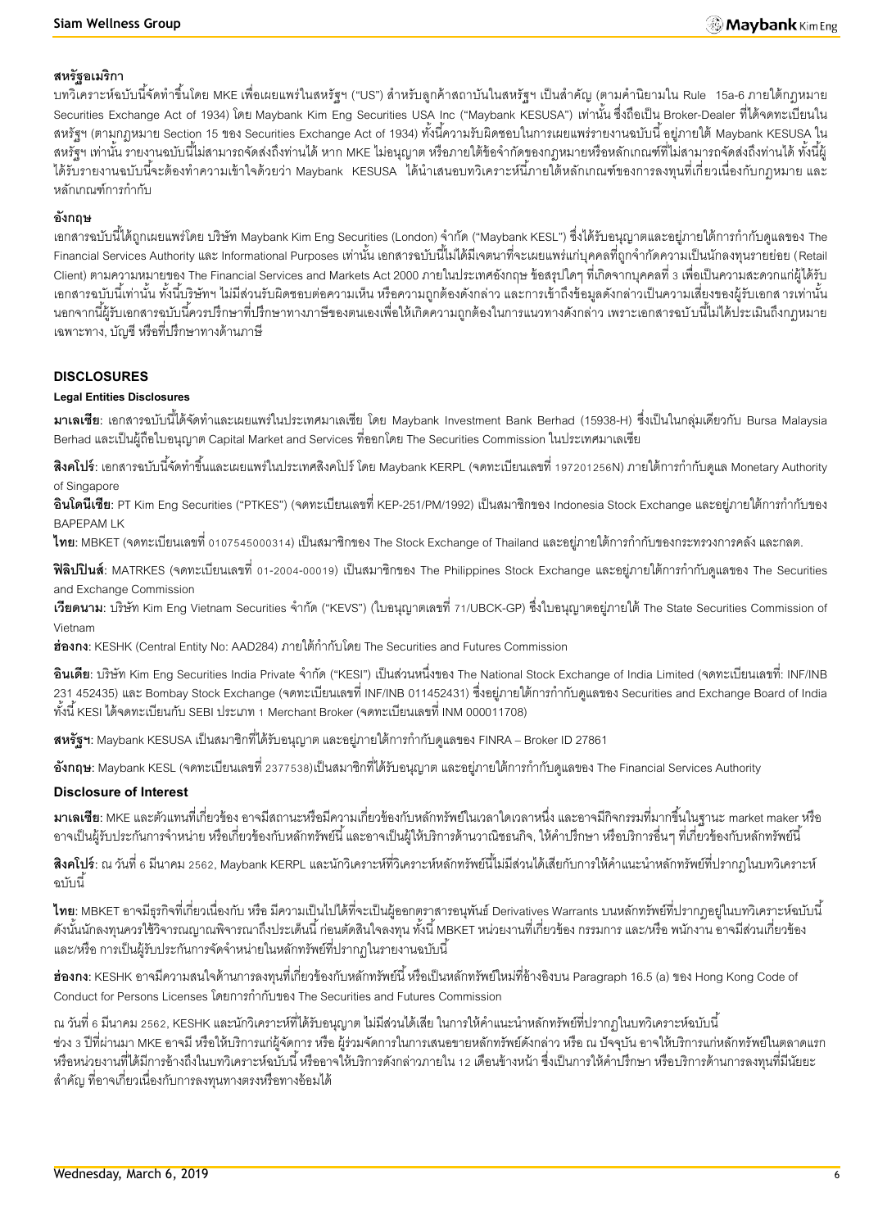#### **สหรัฐอเมริกา**

ี บทวิเคราะห์ฉบับนี้จัดทำขึ้นโดย MKE เพื่อเผยแพร่ในสหรัฐฯ ("US") สำหรับลูกค้าสถาบันในสหรัฐฯ เป็นสำคัญ (ตามคำนิยามใน Rule 15a-6 ภายใต้กฎหมาย Securities Exchange Act of 1934) โดย Maybank Kim Eng Securities USA Inc ("Maybank KESUSA") เท่านั้น ซึ่งถือเป็น Broker-Dealer ที่ได้จดทะเบียนใน สหรัฐฯ (ตามกฎหมาย Section 15 ของ Securities Exchange Act of 1934) ทั้งนี้ความรับผิดชอบในการเผยแพร่รายงานฉบับนี้ อยู่ภายใต้ Maybank KESUSA ใน ี สหรัฐฯ เท่านั้น รายงานฉบับนี้ไม่สามารถจัดส่งถึงท่านได้ หาก MKE ไม่อนุญาต หรือภายใต้ข้อจำกัดของกฎหมายหรือหลักเกณฑ์ที่ไม่สามารถจัดส่งถึงท่านได้ ทั้งนี้ผู้ ได้รับรายงานฉบับนี้จะต้องทำความเข้าใจด้วยว่า Maybank KESUSA ได้นำเสนอบทวิเคราะห์นี้ภายใต้หลักเกณฑ์ของการลงทุนที่เกี่ยวเนื่องกับกฎหมาย และ หลักเกณฑ์การกำกับ

### **อังกฤษ**

ู เอกสารฉบับนี้ได้ถกเผยแพร่โดย บริษัท Maybank Kim Eng Securities (London) จำกัด ("Maybank KESL") ซึ่งได้รับอนุญาตและอย่ภายใต้การกำกับดูแลของ The -Financial Services Authority และ Informational Purposes เท่านั้น เอกสารฉบับนี้ไม่ได้มีเจตนาที่จะเผยแพร่แก่บุคคลที่ถูกจำกัดความเป็นนักลงทุนรายย่อย (Retail Client) ตามความหมายของ The Financial Services and Markets Act 2000 ภายในประเทศอังกฤษ ข้อสรุปใดๆ ที่เกิดจากบุคคลที่ 3 เพื่อเป็นความสะดวกแก่ผู้ได้รับ ้ เอกสารฉบับนี้เท่านั้น ทั้งนี้บริษัทฯ ไม่มีส่วนรับผิดชอบต่อความเห็น หรือความถูกต้องดังกล่าว และการเข้าถึงข้อมูลดังกล่าวเป็นความเสี่ยงของผู้รับเอกส ารเท่านั้น ้นอกจากนี้ผ้รับเอกสารฉบับนี้ควรปรึกษาที่ปรึกษาทางภาษีของตนเองเพื่อให้เกิดความถูกต้องในการแนวทางดังกล่าว เพราะเอกสารฉบับนี้ไม่ได้ประเมินถึงกฎหมาย เฉพาะทาง, บัญชี หรือที่ปรึกษาทางด้านภาษี

#### **DISCLOSURES**

#### **Legal Entities Disclosures**

**ิมาเลเซีย**: เอกสารฉบับนี้ได้จัดทำและเผยแพร่ในประเทศมาเลเซีย โดย Maybank Investment Bank Berhad (15938-H) ซึ่งเป็นในกลุ่มเดียวกับ Bursa Malaysia Berhad และเป็ นผู้ถือใบอนุญาต Capital Market and Services ที่ออกโดย The Securities Commission ในประเทศมาเลเซีย

**ี <b>สิงคโปร์**: เอกสารฉบับนี้จัดทำขึ้นและเผยแพร่ในประเทศสิงคโปร์ โดย Maybank KERPL (จดทะเบียนเลขที่ 197201256N) ภายใต้การกำกับดูแล Monetary Authority of Singapore

**้อินโดนีเซีย**: PT Kim Eng Securities ("PTKES") (จดทะเบียนเลขที่ KEP-251/PM/1992) เป็นสมาชิกของ Indonesia Stock Exchange และอย่ภายใต้การกำกับของ BAPEPAM LK

**ไทย**: MBKET (จดทะเบียนเลขที่ 0107545000314) เป็นสมาชิกของ The Stock Exchange of Thailand และอยู่ภายใต้การกำกับของกระทรวงการคลัง และกลต.

**ฟิลิปปินส์**: MATRKES (จดทะเบียนเลขที่ 01-2004-00019) เป็นสมาชิกของ The Philippines Stock Exchange และอยู่ภายใต้การกำกับดูแลของ The Securities and Exchange Commission

**เวียดนาม**: บริษัท Kim Eng Vietnam Securities จำกัด ("KEVS") (ใบอนุญาตเลขที่ 71/UBCK-GP) ซึ่งใบอนุญาตอยู่ภายใต้ The State Securities Commission of Vietnam

ี**ฮ่องกง**: KESHK (Central Entity No: AAD284) ภายใต้กำกับโดย The Securities and Futures Commission

**้อินเดีย**: บริษัท Kim Eng Securities India Private จำกัด ("KESI") เป็นส่วนหนึ่งของ The National Stock Exchange of India Limited (จดทะเบียนเลขที่: INF/INB ่ 231 452435) และ Bombay Stock Exchange (จดทะเบียนเลขที่ INF/INB 011452431) ซึ่งอยู่ภายใต้การกำกับดูแลของ Securities and Exchange Board of India ทั ้งนี ้ KESI ได้จดทะเบียนกับ SEBI ประเภท 1 Merchant Broker (จดทะเบียนเลขที่ INM 000011708)

**ิสหรัฐฯ:** Maybank KESUSA เป็นสมาชิกที่ได้รับอนุญาต และอยู่ภายใต้การกำกับดูแลของ FINRA – Broker ID 27861

**อังกฤษ**: Maybank KESL (จดทะเบียนเลขที่ 2377538)เป็นสมาชิกที่ได้รับอนุญาต และอยู่ภายใต้การกำกับดูแลของ The Financial Services Authority

#### **Disclosure of Interest**

**มาเลเซีย:** MKE และตัวแทนที่เกี่ยวข้อง อาจมีสถานะหรือมีความเกี่ยวข้องกับหลักทรัพย์ในเวลาใดเวลาหนึ่ง และอาจมีกิจกรรมที่มากขึ ้นในฐานะ market maker หรือ ่ อาจเป็นผู้รับประกันการจำหน่าย หรือเกี่ยวข้องกับหลักทรัพย์นี้ และอาจเป็นผู้ให้บริการด้านวาณิชธนกิจ, ให้คำปรึกษา หรือบริการอื่นๆ ที่เกี่ยวข้องกับหลักทรัพย์นี้

**ี สิงคโปร์:** ณ วันที่ 6 มีนาคม 2562, Maybank KERPL และนักวิเคราะห์ที่วิเคราะห์หลักทรัพย์นี้ไม่มีส่วนได้เสียกับการให้คำแนะนำหลักทรัพย์ที่ปรากภในบทวิเคราะห์ ึ ดาไำเบี้

**ไทย**: MBKET อาจมีธุรกิจที่เกี่ยวเนื่องกับ หรือ มีความเป็นไปได้ที่จะเป็นผู้ออกตราสารอนุพันธ์ Derivatives Warrants บนหลักทรัพย์ที่ปรากฏอยู่ในบทวิเคราะห์ฉบับนี้ ดังนั้นนักลงทุนควรใช้วิจารณญาณพิจารณาถึงประเด็นนี้ ก่อนตัดสินใจลงทุน ทั้งนี้ MBKET หน่วยงานที่เกี่ยวข้อง กรรมการ และ/หรือ พนักงาน อาจมีส่วนเกี่ยวข้อง และ/หรือ การเป็นผู้รับประกันการจัดจำหน่ายในหลักทรัพย์ที่ปรากฏในรายงานฉบับนี้

**ฮ่องกง:** KESHK อาจมีความสนใจด้านการลงทุนที่เกี่ยวข้องกับหลักทรัพย์นี้ หรือเป็นหลักทรัพย์ใหม่ที่อ้างอิงบน Paragraph 16.5 (a) ของ Hong Kong Code of Conduct for Persons Licenses โดยการกำกับของ The Securities and Futures Commission

ณ วันที่ 6 มีนาคม 2562, KESHK และนักวิเคราะห์ที่ได้รับอนุญาต ไม่มีส่วนได้เสีย ในการให้คำแนะนำหลักทรัพย์ที่ปรากฏในบทวิเคราะห์ฉบับนี้ ี ช่วง 3 ปีที่ผ่านมา MKE อาจมี หรือให้บริการแก่ผู้จัดการ หรือ ผู้ร่วมจัดการในการเสนอขายหลักทรัพย์ดังกล่าว หรือ ณ ปัจจุบัน อาจให้บริการแก่หลักทรัพย์ในตลาดแรก หรือหน่วยงานที่ได้มีการอ้างถึงในบทวิเคราะห์ฉบับนี้ หรืออาจให้บริการดังกล่าวภายใน 12 เดือนข้างหน้า ซึ่งเป็นการให้คำปรึกษา หรือบริการด้านการลงทุนที่มีนัยยะ ส าคัญ ที่อาจเกี่ยวเนื่องกับการลงทุนทางตรงหรือทางอ้อมได้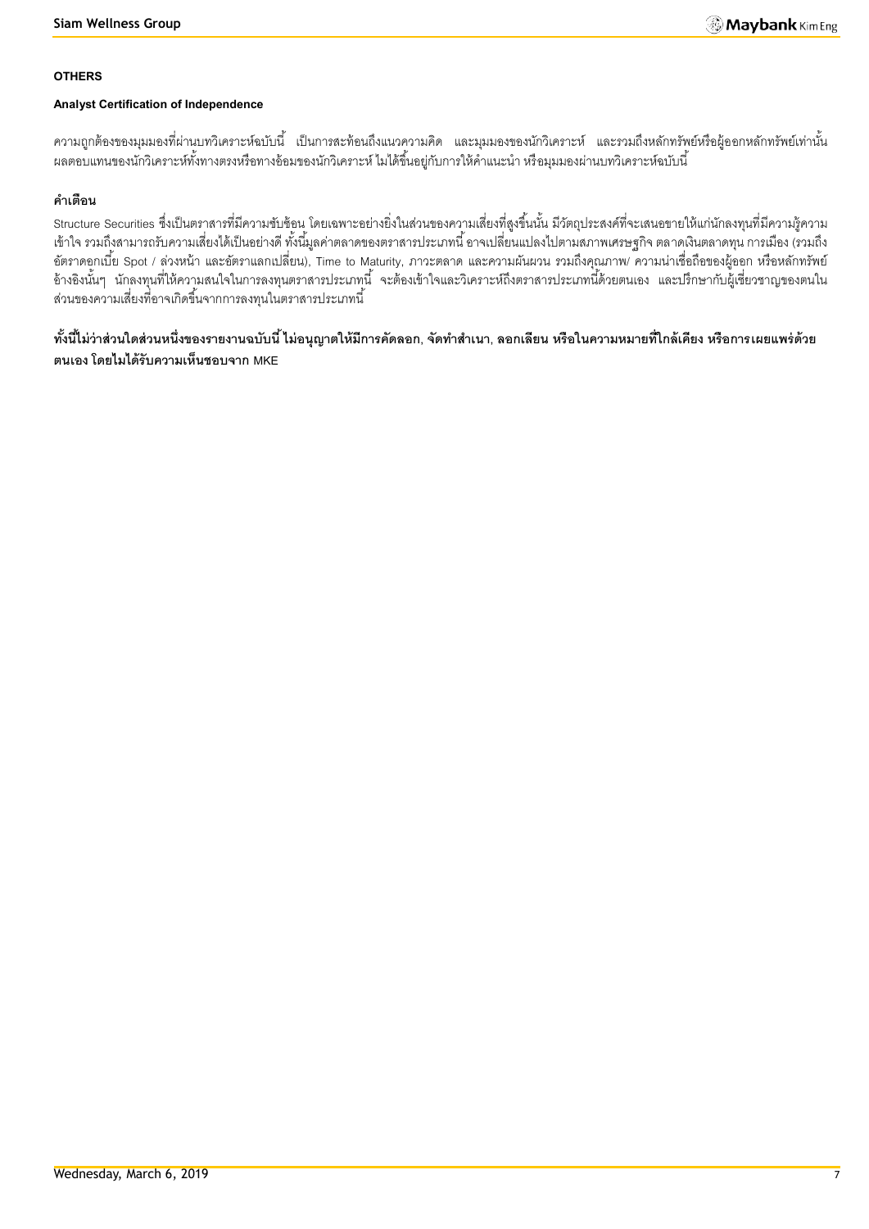#### **OTHERS**

#### **Analyst Certification of Independence**

้ ความถูกต้องของมุมมองที่ผ่านบทวิเคราะห์ฉบับนี้ เป็นการสะท้อนถึงแนวความคิด และมุมมองของนักวิเคราะห์ และรวมถึงหลักทรัพย์หรือผู้ออกหลักทรัพย์เท่านั้น ้ ผลตอบแทนของนักวิเคราะห์ทั้งทางตรงหรือทางอ้อมของนักวิเคราะห์ ไมได้ขึ้นอยู่กับการให้คำแนะนำ หรือมุมมองผ่านบทวิเคราะห์ฉบับนี้

## **ค าเตือน**

Structure Securities ซึ่งเป็นตราสารที่มีความซับซ้อน โดยเฉพาะอย่างยิ่งในส่วนของความเสี่ยงที่สูงขึ้นนั้น มีวัตถุประสงค์ที่จะเสนอขายให้แก่นักลงทุนที่มีความรู้ความ เข้าใจ รวมถึงสามารถรับความเสี่ยงได้เป็ นอย่างดี ทั ้งนี ้มูลค่าตลาดของตราสารประเภทนี ้ อาจเปลี่ยนแปลงไปตามสภาพเศรษฐกิจ ตลาดเงินตลาดทุน การเมือง (รวมถึง อัตราดอกเบี้ย Spot / ล่วงหน้า และอัตราแลกเปลี่ยน), Time to Maturity, ภาวะตลาด และความผันผวน รวมถึงคุณภาพ/ ความน่าเชื่อถือของผู้ออก หรือหลักทรัพย์ อ้างอิงนั้นๆ นักลงทุนที่ให้ความสนใจในการลงทุนตราสารประเภทนี้ จะต้องเข้าใจและวิเคราะห์ถึงตราสารประเภทนี้ด้วยตนเอง และปรึกษากับผู้เชี่ยวชาญของตนใน ส่วนของความเสี่ยงที่อาจเกิดขึ้นจากการลงทุนในตราสารประเภทนี้

์ ทั้งนี้ไม่ว่าส่วนใดส่วนหนึ่งของรายงานฉบับนี้ ไม่อนุญาตให้มีการคัดลอก, จัดทำสำเนา, ลอกเลียน หรือในความหมายที่ใกล้เคียง หรือการเผยแพร่ด้วย **ตนเอง โดยไมได้รับความเห็นชอบจาก MKE**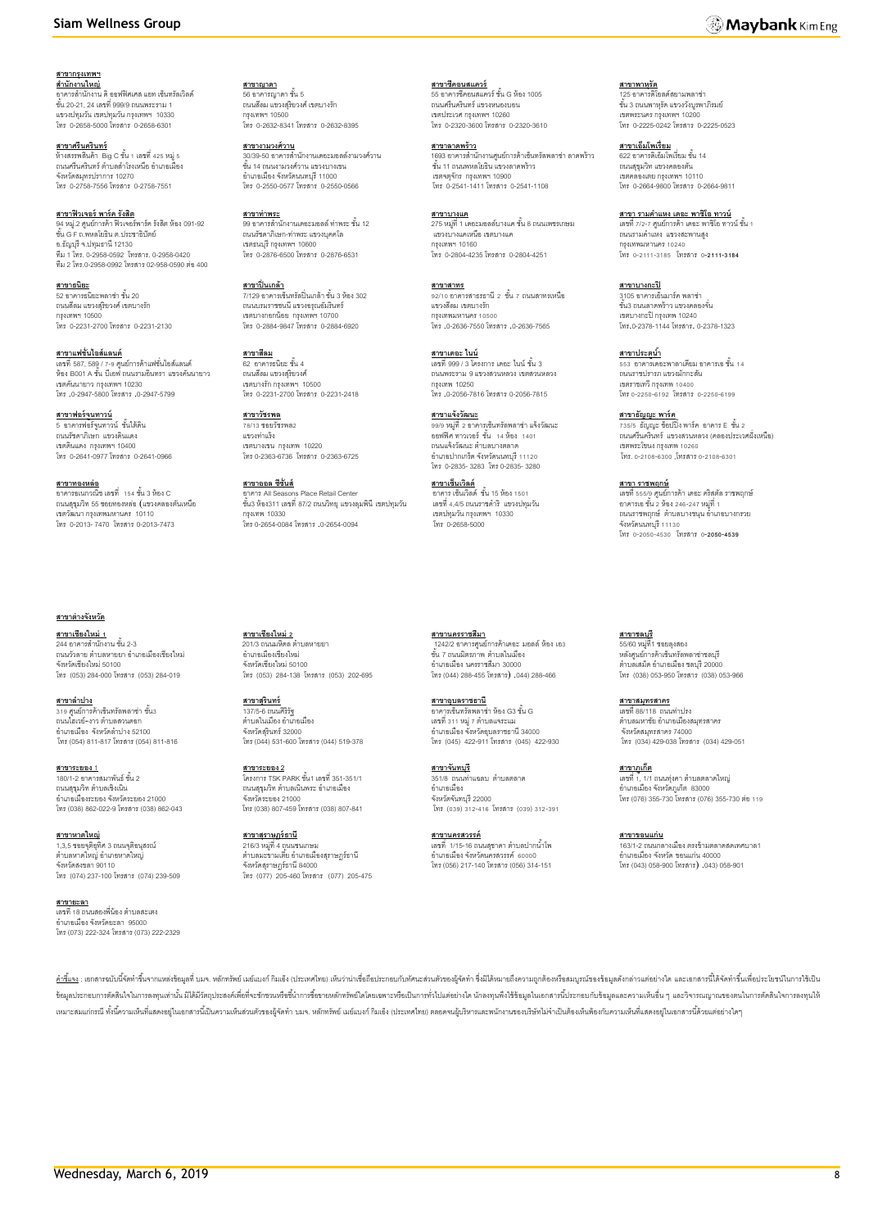#### **Siam Wellness Group**

**สาขากรุงเทพฯ** ี<u>สำ**นักงานใหญ่**<br>อาคารสำนักงาน ดิ ออฟฟิศเศส แอท เซ็นทรัลเวิลด์</u><br>ชั้น 20-21, 24 เลขที่ 999/9 ถนนพระราม 1 แขวงปทุมวัน เขตปทุมวัน กรุงเทพฯ 10330

โทร 0-2658-5000 โทรสาร 0-2658-6301

ี<u>สาขา**ศรีนครินทร์**</u><br>ห้างสรรพสินค้า Big C ขั้น 1 เลขที่ 425 หมู่ 5<br>ถนนศรีนครินทร์ ตำบลสำโรงเหนือ อำเภอเมือง จังหวัดสมุทรปราการ 10270 โทร 0-2758-7556 โทรสาร 0-2758-7551

**สาขาฟิ วเจอร์ พาร์ค รังสิต** 94 หมู่.2 ศูนย์การค้า ฟิวเจอร์พาร์ค รังสิต ห้อง 091-92<br>ชั้น G F ถ.พหลโยธิน ต.ประชาธิปัตย์ อ.ธัญบุรี จ.ปทุมธานี 12130 ทีม 1 โทร. 0-2958-0592 โทรสาร. 0-2958-0420 ทีม 2 โทร.0-2958-0992 โทรสาร 02-958-0590 ต่อ400

**สาขาธนิยะ** 52 อาคารธนิยะพลาซ่า ชั ้น 20 ถนนสีลม แขวงสุริยวงศ์ เขตบางรัก กรุงเทพฯ 10500 โทร 0-2231-2700 โทรสาร 0-2231-2130

**สาขาแฟชั่นไอส์แลนด์** เลขที่ 587, 589 / 7-9 ศูนย์การค้าแฟชั่นไอส์แลนด์<br>ห้อง B001 A ขั้น บีเอฟ ถนนรามอินทรา แขวงคันนายาว เขตคันนายาว กรุงเทพฯ 10230 โทร .0-2947-5800 โทรสาร .0-2947-5799

**สาขาฟอร์จูนทาวน์**<br>5 อาคารฟอร์จูนทาวน์ ชั้นใต้ดิน ถนนรัชดาภิเษก แขวงดินแดง เขตดินแดง กรุงเทพฯ 10400 โทร 0-2641-0977 โทรสาร 0-2641-0966

**สาขาทองหล่อ** อาคารอเนกวณิช เลขที่ 154ชั ้น 3 ห้อง C ถนนสุขุมวิท 55 ซอยทองหล่อ )แขวงคลองตันเหนือ เขตวัฒนา กรุงเทพมหานคร 10110 โทร 0-2013- 7470 โทรสาร 0-2013-7473

**สาขาต่างจังหวัด**

**สาขาเชียงใหม่ 1** 244 อาคารส านักงาน ชั ้น 2-3 ถนนวัวลาย ตำบลหายยา อำเภอเมืองเชียงใหม่ จังหวัดเชียงใหม่ 50100 โทร (053) 284-000 โทรสาร (053) 284-019

**สาขาล าปาง** 319 ศูนย์การค้าเซ็นทรัลพลาซ่า ชั้น3 ถนนไฮเวย์-งาว ตำบลสวนดอก อ าเภอเมือง จังหวัดล าปาง 52100 โทร (054) 811-817 โทรสาร (054) 811-816

**สาขาระยอง** 1 <u>..............</u><br>180/1-2 อาคารสมาพันธ์ ชั้น 2 ถนนสุขุมวิท ตำบลเชิงเนิน -----------------------------<br>อำเภอเมืองระยอง จังหวัดระยอง 21000 โทร (038) 862-022-9 โทรสาร (038) 862-043

**สาขาหาดใหญ่**  1,3,5 ซอยจุติอุทิศ 3 ถนนจุติอนุสรณ์ ต าบลหาดใหญ่ อ าเภอหาดใหญ่ จังหวัดสงขลา 90110 โทร (074) 237-100 โทรสาร (074) 239-509

**สาขายะลา** <u>ี่มารับระมา</u><br>เลขที่ 18 กายเสดงพี่ร้อง ตำบลสะเตง อ าเภอเมือง จังหวัดยะลา 95000 โทร (073) 222-324 โทรสาร (073) 222-2329

<mark>สาขาญาดา</mark><br>56 อาคารญาดา ชั้น 5 ถนนสีลม แขวงสุริยวงศ์ เขตบางรัก กรุงเทพฯ 10500 โทร 0-2632-8341 โทรสาร 0-2632-8395

<u>สาขา**งามวงศ์วาน**</u><br>30/39-50 อาคารสำนักงานเดอะมอลล์งามวงศ์วาน<br>ชั้น 14 ถนนงามวงศ์วาน แขวงบางเขน อ าเภอเมือง จังหวัดนนทบุรี 11000 โทร 0-2550-0577 โทรสาร 0-2550-0566

**สาขาท่าพระ** 99 อาคารสำนักงานเดอะมอลล์ ท่าพระ ชั้น 12 ถนนรัชดาภิเษก-ท่าพระ แขวงบุคคโล เขตธนบุรี กรุงเทพฯ 10600 โทร 0-2876-6500 โทรสาร 0-2876-6531

**สาขาปิ่ นเกล้า** <u>................</u><br>7/129 อาคารเซ็นทรัลปิ่นเกล้า ชั้น 3 ห้อง 302 ถนนบรมราชชนนี แขวงอรุณอัมรินทร์ เขตบางกอกน้อย กรุงเทพฯ 10700 โทร 0-2884-9847 โทรสาร 0-2884-6920

**สาขาสีลม** 62 อาคารธนิยะ ชั้น 4<br>ถนนสีลม แขวงสุริยวงศ์ เขตบางรัก กรุงเทพฯ 10500 โทร 0-2231-2700 โทรสาร 0-2231-2418

**สาขาวัชรพล** <u>-----------</u><br>78/13 ซอยวัชรพล2 แขวงท่าแร้ง เขตบางเขน กรุงเทพ 10220 โทร 0-2363-6736 โทรสาร 0-2363-6725

**สาขาออล ซีซั่นส์** อาคาร All Seasons Place Retail Center ชั ้น3 ห้อง311 เลขที่ 87/2 ถนนวิทยุแขวงลุมพินีเขตปทุมวัน กรุงเทพ 10330 โทร 0-2654-0084 โทรสาร .0-2654-0094

**สาขาเชียงใหม่ 2**<br>201/3 ถนนมหิดล ตำบลหายยา อ าเภอเมืองเชียงใหม่ จังหวัดเชียงใหม่ 50100 โทร (053) 284-138 โทรสาร (053) 202-695

**สาขาสุรินทร์** 137/5-6 ถนนศิริรัฐ ้าบกบี บ เกมมาระ<br>ตำบลในเมือง อำเภอเมือง จังหวัดสุรินทร์ 32000 โทร (044) 531-600 โทรสาร (044) 519-378

**สาขาระยอง 2** โครงการ TSK PARK ชั ้น1 เลขที่ 351-351/1 ถนนสุขุมวิท ตำบลเนินพระ คำเภคเมือง จังหวัดระยอง 21000 โทร (038) 807-459 โทรสาร (038) 807-841

**สาขาสุราษฏร์ธานี** 216/3 หมู่ที่ 4 ถนนชนเกษม<br>ตำบลมะขามเตี๋ย อำเภอเมืองสุราษฎร์ธานี จังหวัดสุราษฎร์ธานี 84000 โทร (077) 205-460 โทรสาร (077) 205-475

**สาขาซีคอนสแควร์**<br>55 อาคารซีคอนสแควร์ ชั้น G ห้อง 1005 ถนนศรีนครินทร์ แขวงหนองบอน เขตประเวศ กรุงเทพฯ 10260 โทร 0-2320-3600 โทรสาร 0-2320-3610

**สาขาลาดพร้าว**<br>1693 อาคารสำนักงานศูนย์การค้าเซ็นทรัลพลาซ่า ลาดพร้าว<br>ขั้น 11 ถนนพหลโยธิน แขวงลาดพร้าว เขตจตุจักร กรุงเทพฯ 10900 โทร 0-2541-1411 โทรสาร 0-2541-1108

**สาขาบางแค**  $275$  หมู่ที่ 1 เดอะมอลล์บางแค ชั้น 8 ถนนเพชรเกษม แขวงบางแคเหนือ เขตบางแค กรุงเทพฯ 10160 โทร 0-2804-4235 โทรสาร 0-2804-4251

**สาขาสาทร** <u>.............</u><br>92/10 อาคารสาธรธานี 2 ชั้น 7 ถนนสาทรเหนือ แขวงสีลม เขตบางรัก กรุงเทพมหานคร 10500 โทร .0-2636-7550 โทรสาร .0-2636-7565

**สาขาเดอะ ไนน์** เลขที่ 999 / 3 โครงการ เดอะ ไนน์ ชั้น 3 ถนนพระราม 9 แขวงสวนหลวง เขตสวนหลวง กรุงเทพ 10250 โทร .0-2056-7816 โทรสาร 0-2056-7815

**สาขาแจ้งวัฒนะ** 99/9 หมู่ที่ 2อาคารเซ็นทรัลพลาซ่า แจ้งวัฒนะ ้อยฟฟิศ ทาวเวอร์ ชั้น 14 ห้อง 1401 ถนนแจ้งวัฒนะ ตำบลบางตลาด<br>อำเภอปากเกร็ด จังหวัดนนทบุรี 11120 โทร 0-2835- 3283 โทร 0-2835- 3280

ี<u>สาขาเซ็นเวิลด์</u><br>อาคาร เซ็นเวิลด์ ชั้น 15 ห้อง 1501 เลขที่ 4,4/5 ถนนราชด าริ แขวงปทุมวัน เขตปทุมวัน กรุงเทพฯ 10330 โทร 0-2658-5000

**สาขานครราชสีมา**<br>\_1242/2 อาคารศูนย์การค้าเดอะ มอลล์ ห้อง เอ3 ชั้น 7 ถนนมิตรภาพ ตำบลในเมือง อ าเภอเมือง นครราชสีมา 30000 โทร (044) 288-455 โทรสาร) .044) 288-466

**สาขาอุบลราชธานี** อาคารเซ็นทรัลพลาซ่า ห้อง G3 ชั้น G<br>เลขที่ 311 หมู่ 7 ตำบลแจระแม<br>อำเภอเมือง จังหวัดอุบลราชธานี 34000 โทร (045) 422-911 โทรสาร (045) 422-930

**สาขาจันทบุรี** 351/8 ถนนท่าแฉลบ ตำบลตลาด อ าเภอเมือง จังหวัดจันทบุรี 22000 โทร (039) 312-416 โทรสาร (039) 312-391

**สาขานครสวรรค์** เลขที่ 1/15-16 ถนนสุชาดา ต าบลปากน ้าโพ อ าเภอเมือง จังหวัดนครสวรรค์ 60000 โทร (056) 217-140 โทรสาร (056) 314-151

ี<u>สาขาพาหุรัด</u><br>125 อาคารดิโอลด์สยามพลาซ่า<br>ชั้น 3 ถนนพาหุรัด แขวงวังบูรพาภิรมย์ เขตพระนคร กรุงเทพฯ 10200 โทร 0-2225-0242 โทรสาร 0-2225-0523

<mark>สาขาเอ็มโพเรี่ยม</mark><br>622 อาคารดิเอ็มโพเรี่ยม ชั้น 14 ถนนสุขุมวิท แขวงคลองตัน เขตคลองเตย กรุงเทพฯ 10110 โทร 0-2664-9800 โทรสาร 0-2664-9811

<u>สาขา รามคำแหง เดอะ พาซิโอ ทาวน์</u> เลขที่ 7/2-7 ศูนย์การค้า เดอะ พาซิโอ ทาวน์ ชั้น 1

ถนนรามค าแหง แขวงสะพานสูง กรุงเทพมหานคร 10240 โทร 0-2111-3185 โทรสาร 0**-2111-3184**

**สาขาบางกะปิ** 3105 อาคารเอ็นมาร์ค พลาซ่า ชั ้น3 ถนนลาดพร้าว แขวงคลองจั่น เขตบางกะปิ กรุงเทพ 10240 โทร.0-2378-1144 โทรสาร. 0-2378-1323

**สาขาประตูน้ำ** 553 อาคารเดอะพาลาเดียม อาคารเอ ชั้น 14<br>ถนนราชปรารภ แขวงมักกะสัน เขตราชเทวี กรุงเทพ 10400 โทร0-2250-6192 โทรสาร 0-2250-6199

**สาขาธัญญะ พาร์ค**<br>735/5 ธัญญะ ช็อปปิ้ง พาร์ค อาคาร E ชั้น 2<br>ถนนศรีนครินทร์ แขวงสวนหลวง (คลองประเวศฝั่งเหนือ) เขตพระโขนง กรุงเทพ 10260 โทร. 0-2108-6300 ,โทรสาร 0-2108-6301

**สาขา ราชพฤกษ์** เลขที่ 555/9 ศูนย์การค้า เดอะ คริสตัล ราชพฤกษ์<br>อาคารเอ ชั้น 2 ห้อง 246-247 หมู่ที่ 1 ิถนนราชพฤกษ์ ตำบลบางขนุน อำเภอบางกรวย จังหวัดนนทบุรี 11130 โทร 0-2050-4530 โทรสาร 0**-2050-4539**

**สาขาชลบุรี**  55/60 หมู่ที่1 ซอยลุงสอง หลังศูนย์การค้าเซ็นทรัลพลาซ่าซลบุรี<br>ตำบลเสม็ด อำเภอเมือง ซลบุรี 20000 โทร (038) 053-950 โทรสาร (038) 053-966

**สาขาสมุทรสาคร** เลขที่ 88/118 ถนนท่าปรง นามา 557 115 นาคมา 1274<br>ตำบลมหาชัย อำเภอเมืองสมุทรสาคร จังหวัดสมุทรสาคร 74000 โทร (034) 429-038 โทรสาร (034) 429-051

**สาขาภูเก็ต** เลขที่ 1, 1/1 ถนนทุ่งคา ตำบลตลาดใหญ่<br>อำเภอเมือง จังหวัดภูเก็ต 83000<br>โทร (076) 355-730 โทรสาร (076) 355-730 ต่อ 119

**สาขาขอนแก่น** ี<u>.....................</u><br>163/1-2 ถนนกลางเมือง ตรงข้ามตลาดสดเทศบาล1 อ าเภอเมือง จังหวัด ขอนแก่น 40000 โทร (043) 058-900 โทรสาร) .043) 058-901

<u>คำขึ้แจ</u>ะ เอกสารณับนี้จัดทำขึ้นจากแหล่งข้อมูลที่ นมจ. หลักทาพย์ แย่แมงก์ กิแอ็ง (ประเทศไทย) เห็นว่าน่าเชื่อถือประกอบกับทัศนะส่วนตัวของผู้จัดทำ ซึ่งมิได้หมายถึงความถูกต้องหรือสมบูรณ์ของข้อมูลดังกล่าวแต่อย่างได และเอกสารนี ข้อมูลประกอบการตัดสินใจในการลงทุนท่านั้นมีได้มีวัตถุประสงค์เพื่อที่จะขักชามทรีขอ้นำการข้อหายสถาทรับในเดียวในเด่อย่างใด นักลงทุนพึงใช้ข้อมูลในเอกสารนี้ประกอบกับข้อมูลและความเห็นอื่น ๆ และวิจารณญาณของตนในการตัดสินใจการลงทุนใ เหมาะสมแก่กรณี ทั้งนี้ความเห็นที่แสดงอยู่ในเอกสารนี้เป็นความเห็นส่วนตัวเองผู้จัดทำ บมจ. หลักทรัพย์ แย้แบงก์ กิมเอ็ง (ประเทศไทย) ตลอดจนผู้บริหารและพนักงานของบริษัทไมจำเป็นต้องเห็นท้องกับความเห็นที่แสดงอยู่ในเอกสารนี้ด้วยแต่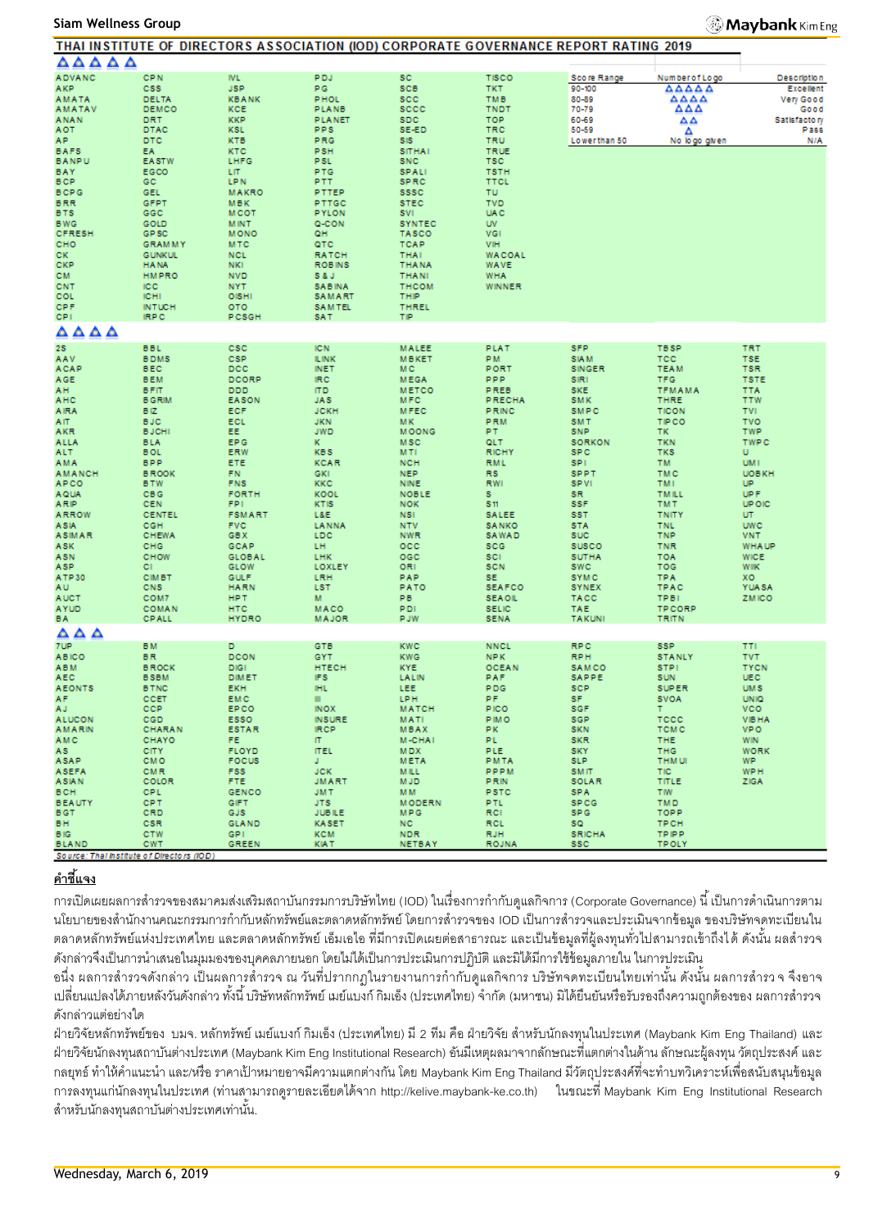#### **Siam Wellness Group**

#### **Maybank** Kim Eng

|                                           |                              | THAT INSTITUTE OF DIRECTORS ASSOCIATION (IOD) CORPORATE GOVERNANCE REPORT RATING 2019 |                              |                             |                             |                             |                     |                            |
|-------------------------------------------|------------------------------|---------------------------------------------------------------------------------------|------------------------------|-----------------------------|-----------------------------|-----------------------------|---------------------|----------------------------|
| ΔΔΔΔΔ                                     |                              |                                                                                       |                              |                             |                             |                             |                     |                            |
| <b>ADVANC</b>                             | <b>CPN</b>                   | <b>IVL</b>                                                                            | <b>PDJ</b>                   | <b>SC</b>                   | <b>TISCO</b>                | Score Range                 | Number of Logo      | <b>Description</b>         |
| AKP.                                      | <b>CSS</b>                   | <b>JSP</b>                                                                            | PG.                          | <b>SCB</b>                  | TKT.                        | 90-100                      | AAAAA               | Excellent                  |
| <b>AMATA</b>                              | DELTA                        | <b>KBANK</b>                                                                          | <b>PHOL</b>                  | <b>SCC</b>                  | <b>TMB</b>                  | 80-89                       | AAAA                | Very Good                  |
| <b>AMATAV</b>                             | DEMCO                        | KCE                                                                                   | PLANB                        | sccc                        | <b>TNDT</b>                 | 70-79                       | AΔA                 | Good                       |
| <b>ANAN</b>                               | DRT                          | <b>KKP</b>                                                                            | <b>PLANET</b>                | <b>SDC</b>                  | <b>TOP</b>                  | 60-69                       | ឹឹ                  | Satisfactory               |
| <b>AOT</b>                                | DTAC                         | <b>KSL</b>                                                                            | PPS                          | SE-ED                       | TRC                         | 50-59                       | Δ                   | Pass                       |
| AP.                                       | <b>DTC</b>                   | <b>KTB</b>                                                                            | PRG                          | SIS                         | <b>TRU</b>                  | Lowerthan 50                | No logo given       | N/A                        |
| <b>BAFS</b>                               | EA.                          | <b>KTC</b>                                                                            | <b>PSH</b>                   | <b>SITHAI</b>               | <b>TRUE</b>                 |                             |                     |                            |
| <b>BANPU</b>                              | <b>EASTW</b>                 | LHFG                                                                                  | <b>PSL</b>                   | <b>SNC</b>                  | <b>TSC</b>                  |                             |                     |                            |
| BAY                                       | EGCO                         | LIT.                                                                                  | <b>PTG</b>                   | <b>SPALI</b>                | <b>TSTH</b>                 |                             |                     |                            |
| <b>BCP</b>                                | GC                           | <b>LPN</b>                                                                            | PTT.                         | <b>SPRC</b>                 | <b>TTCL</b>                 |                             |                     |                            |
| <b>BCPG</b>                               | GEL                          | <b>MAKRO</b>                                                                          | PTTEP                        | <b>SSSC</b>                 | <b>TU</b>                   |                             |                     |                            |
| <b>BRR</b>                                | <b>GFPT</b>                  | <b>MBK</b>                                                                            | PTTGC                        | <b>STEC</b>                 | <b>TVD</b>                  |                             |                     |                            |
| <b>BTS</b>                                | GGC                          | <b>MCOT</b>                                                                           | <b>PYLON</b>                 | SVI.                        | <b>UAC</b>                  |                             |                     |                            |
| <b>BWG</b>                                | GOLD                         | <b>MINT</b>                                                                           | Q-CON                        | <b>SYNTEC</b>               | <b>UV</b>                   |                             |                     |                            |
| <b>CFRESH</b>                             | GP <sub>SC</sub>             | <b>MONO</b>                                                                           | QH.                          | <b>TASCO</b>                | VGI                         |                             |                     |                            |
| CHO                                       | <b>GRAMMY</b>                | <b>MTC</b>                                                                            | QTC                          | <b>TCAP</b>                 | VIH                         |                             |                     |                            |
| CK.                                       | <b>GUNKUL</b>                | <b>NCL</b>                                                                            | <b>RATCH</b>                 | <b>THAI</b>                 | <b>WACOAL</b>               |                             |                     |                            |
| CKP                                       | <b>HANA</b>                  | <b>NKI</b>                                                                            | <b>ROBINS</b>                | <b>THANA</b>                | <b>WAVE</b>                 |                             |                     |                            |
| CM.                                       | <b>HMPRO</b>                 | <b>NVD</b>                                                                            | S&J                          | <b>THANI</b>                | <b>WHA</b>                  |                             |                     |                            |
| CNT                                       | ICC.                         | <b>NYT</b>                                                                            | <b>SABINA</b>                | <b>THCOM</b>                | WINNER                      |                             |                     |                            |
| COL                                       | <b>ICHI</b>                  | OISHI                                                                                 | SAMART                       | THIP                        |                             |                             |                     |                            |
| <b>CPF</b>                                | <b>INTUCH</b>                | <b>OTO</b>                                                                            | SAMTEL                       | THREL                       |                             |                             |                     |                            |
| CPI.                                      | <b>IRPC</b>                  | PCSGH                                                                                 | SAT                          | ΤIΡ                         |                             |                             |                     |                            |
| $\triangle \triangle \triangle \triangle$ |                              |                                                                                       |                              |                             |                             |                             |                     |                            |
| 28                                        | <b>BBL</b>                   | csc                                                                                   | <b>IC N</b>                  | <b>MALEE</b>                | PLAT                        | <b>SFP</b>                  | <b>TBSP</b>         | <b>TRT</b>                 |
| AAV                                       | <b>BDMS</b>                  | <b>CSP</b>                                                                            | <b>ILINK</b>                 | <b>MBKET</b>                | PM.                         | <b>SIAM</b>                 | <b>TCC</b>          | <b>TSE</b>                 |
| ACAP                                      | <b>BEC</b>                   | DCC                                                                                   | <b>INET</b>                  | M C                         | PORT                        | <b>SINGER</b>               | <b>TEAM</b>         | <b>TSR</b>                 |
| AGE                                       | <b>BEM</b>                   | DCORP                                                                                 | IRC.                         | <b>MEGA</b>                 | <b>PPP</b>                  | SIRI                        | <b>TFG</b>          | <b>TSTE</b>                |
| AH.                                       | <b>BFIT</b>                  | <b>DDD</b>                                                                            | <b>ITD</b>                   | <b>METCO</b>                | PREB                        | <b>SKE</b>                  | <b>TFMAMA</b>       | <b>TTA</b>                 |
| AHC                                       | <b>B GRIM</b>                | <b>EASON</b>                                                                          | <b>JAS</b>                   | MFC                         | <b>PRECHA</b>               | <b>SMK</b>                  | <b>THRE</b>         | <b>TTW</b>                 |
| <b>AIRA</b>                               | BIZ.                         | <b>ECF</b>                                                                            | <b>JCKH</b>                  | <b>MFEC</b>                 | PRINC                       | SMPC                        | <b>TICON</b>        | <b>TVI</b>                 |
| AIT.                                      | <b>BJC</b>                   | ECL                                                                                   | <b>JKN</b>                   | MK.                         | <b>PRM</b>                  | <b>SMT</b>                  | <b>TIPCO</b>        | <b>TVO</b>                 |
| AKR                                       | <b>BJCHI</b>                 | EE.                                                                                   | <b>JWD</b>                   | <b>MOONG</b>                | PT.                         | <b>SNP</b>                  | TK.                 | <b>TWP</b>                 |
| <b>ALLA</b>                               | <b>BLA</b>                   | EP G                                                                                  | ĸ.                           | <b>MSC</b>                  | QLT.                        | <b>SORKON</b>               | <b>TKN</b>          | <b>TWPC</b>                |
| ALT.                                      | <b>BOL</b>                   | ERW                                                                                   | <b>KBS</b>                   | <b>MTI</b>                  | <b>RICHY</b>                | SP C                        | <b>TKS</b>          | U.                         |
| AMA                                       | <b>BPP</b>                   | ETE                                                                                   | <b>KCAR</b>                  | <b>NCH</b>                  | <b>RML</b>                  | SPI.                        | TM.                 | UM I                       |
| <b>AMANCH</b>                             | <b>BROOK</b>                 | FN.                                                                                   | <b>GKI</b>                   | <b>NEP</b>                  | <b>RS</b>                   | <b>SPPT</b>                 | <b>TMC</b>          | <b>UOBKH</b>               |
| <b>APCO</b>                               | <b>BTW</b>                   | <b>FNS</b>                                                                            | <b>KKC</b>                   | <b>NINE</b>                 | <b>RWI</b>                  | <b>SPVI</b>                 | TMI.                | UP.                        |
| <b>AQUA</b>                               | <b>CBG</b>                   | <b>FORTH</b>                                                                          | KOOL                         | <b>NOBLE</b>                | s.                          | SR.                         | <b>TMILL</b>        | UP F                       |
| ARIP                                      | CEN                          | FPI.                                                                                  | KTIS                         | <b>NOK</b>                  | \$11                        | <b>SSF</b>                  | <b>TMT</b>          | <b>UP OIC</b>              |
| <b>ARROW</b>                              | <b>CENTEL</b>                | <b>FSMART</b>                                                                         | L&E                          | <b>NSI</b>                  | <b>SALEE</b>                | <b>SST</b>                  | <b>TNITY</b>        | UT.                        |
| <b>ASIA</b>                               | CGH                          | <b>FVC</b>                                                                            | LANNA                        | <b>NTV</b>                  | <b>SANKO</b>                | <b>STA</b>                  | <b>TNL</b>          | <b>UWC</b>                 |
| <b>ASIMAR</b>                             | CHEWA                        | <b>GBX</b>                                                                            | <b>LDC</b>                   | <b>NWR</b>                  | SAWAD                       | <b>SUC</b>                  | <b>TNP</b>          | <b>VNT</b>                 |
| ASK                                       | CHG                          | GCAP                                                                                  | LH                           | $_{\rm occ}$                | scc                         | <b>SUSCO</b>                | <b>TNR</b>          | <b>WHA UP</b>              |
| <b>ASN</b>                                | CHOW                         | <b>GLOBAL</b>                                                                         | <b>LHK</b>                   | OGC                         | <b>SCI</b>                  | <b>SUTHA</b>                | <b>TOA</b>          | <b>WICE</b>                |
| ASP.                                      | CI.                          | GLOW                                                                                  | LOXLEY                       | ORI                         | <b>SCN</b>                  | <b>SWC</b>                  | TOG                 | <b>WIIK</b>                |
| ATP30                                     | <b>CIMBT</b>                 | <b>GULF</b>                                                                           | LRH                          | PAP                         | SE.                         | <b>SYMC</b>                 | <b>TPA</b>          | XO.                        |
| AU.                                       | CNS                          | <b>HARN</b>                                                                           | <b>LST</b>                   | PATO                        | <b>SEAFCO</b>               | <b>SYNEX</b>                | TPAC                | <b>YUASA</b>               |
| <b>AUCT</b>                               | COM7                         | <b>HPT</b>                                                                            | м                            | PB                          | <b>SEAOIL</b>               | <b>TACC</b>                 | <b>TPBI</b>         | <b>ZMICO</b>               |
| <b>AYUD</b>                               | <b>COMAN</b><br><b>CPALL</b> | <b>HTC</b><br><b>HYDRO</b>                                                            | MACO                         | PDI<br><b>PJW</b>           | <b>SELIC</b><br><b>SENA</b> | <b>TAE</b><br><b>TAKUNI</b> | <b>TPCORP</b>       |                            |
| BA.                                       |                              |                                                                                       | <b>MAJOR</b>                 |                             |                             |                             | TRITN               |                            |
| $\triangle$ $\triangle$ $\triangle$       |                              |                                                                                       |                              |                             |                             |                             |                     |                            |
| 7UP.                                      | <b>BM</b>                    | D.                                                                                    | <b>GTB</b>                   | <b>KWC</b>                  | <b>NNCL</b>                 | <b>RPC</b>                  | <b>SSP</b>          | <b>TTI</b>                 |
| <b>ABICO</b>                              | <b>BR</b>                    | <b>DCON</b>                                                                           | <b>GYT</b>                   | <b>KWG</b>                  | NPK.                        | <b>RPH</b>                  | <b>STANLY</b>       | <b>TVT</b>                 |
| <b>ABM</b>                                | <b>BROCK</b>                 | <b>DIGI</b>                                                                           | <b>HTECH</b>                 | <b>KYE</b>                  | <b>OCEAN</b>                | SAMCO                       | <b>STPI</b>         | <b>TYCN</b>                |
| AEC                                       | <b>BSBM</b>                  | <b>DIMET</b>                                                                          | IFS.                         | LALIN                       | PAF                         | SAPPE                       | SUN                 | UEC                        |
| <b>AEONTS</b>                             | <b>B TNC</b>                 | <b>EKH</b>                                                                            | <b>IHL</b>                   | LEE                         | <b>PDG</b>                  | <b>SCP</b>                  | <b>SUPER</b>        | <b>UMS</b>                 |
| AF.                                       | CCET                         | EMC                                                                                   | ш                            | LPH                         | PF.                         | SF.                         | SVOA                | <b>UNIO</b>                |
| AJ.                                       | <b>CCP</b>                   | EP CO                                                                                 | INOX                         | <b>MATCH</b>                | <b>PICO</b>                 | sgF                         | Τ.                  | <b>VCO</b>                 |
| <b>ALUCON</b><br><b>AMARIN</b>            | CGD.                         | <b>ESSO</b><br><b>ESTAR</b>                                                           | <b>INSURE</b><br><b>IRCP</b> | MATI<br><b>MBAX</b>         | <b>PIMO</b><br>PK.          | <b>SGP</b><br><b>SKN</b>    | TCCC<br><b>TCMC</b> | <b>VIBHA</b><br><b>VPO</b> |
|                                           | CHARAN                       |                                                                                       |                              |                             |                             |                             |                     |                            |
| <b>AMC</b><br>AS.                         | <b>CHAYO</b><br><b>CITY</b>  | FE.<br><b>FLOYD</b>                                                                   | IT.<br><b>ITEL</b>           | <b>M-CHAI</b><br><b>MDX</b> | PL.<br>PLE.                 | <b>SKR</b><br><b>SKY</b>    | THE.<br><b>THG</b>  | <b>WIN</b><br><b>WORK</b>  |
| ASAP                                      | <b>CMO</b>                   | <b>FOCUS</b>                                                                          | J.                           | <b>META</b>                 | <b>PMTA</b>                 | SLP.                        | <b>THM UI</b>       | WP.                        |
| <b>ASEFA</b>                              | CMR                          | FSS.                                                                                  | <b>JCK</b>                   | <b>MILL</b>                 | PPPM                        | <b>SMIT</b>                 | <b>TIC</b>          | <b>WPH</b>                 |
| <b>ASIAN</b>                              | COLOR                        | FTE.                                                                                  | <b>JMART</b>                 | <b>MJD</b>                  | <b>PRIN</b>                 | SOLAR                       | TITLE               | ZIGA                       |
| <b>BCH</b>                                | CPL.                         | <b>GENCO</b>                                                                          | JM T                         | MM.                         | PSTC                        | SPA                         | <b>TIW</b>          |                            |
| <b>BEAUTY</b>                             | <b>CPT</b>                   | GIFT                                                                                  | JTS.                         | <b>MODERN</b>               | PTL.                        | <b>SPCG</b>                 | <b>TMD</b>          |                            |
| BGT.                                      | CRD                          | GJS                                                                                   | <b>JUBILE</b>                | <b>MPG</b>                  | RCI.                        | SP G                        | TOPP                |                            |
| BH.                                       | <b>CSR</b>                   | <b>GLAND</b>                                                                          | <b>KASET</b>                 | <b>NC</b>                   | <b>RCL</b>                  | SQ.                         | <b>TPCH</b>         |                            |
| <b>BIG</b>                                | <b>CTW</b>                   | GP <sub>1</sub>                                                                       | <b>KCM</b>                   | <b>NDR</b>                  | <b>RJH</b>                  | <b>SRICHA</b>               | <b>TPIPP</b>        |                            |
| <b>BLAND</b>                              | <b>CWT</b>                   | <b>GREEN</b>                                                                          | <b>KIAT</b>                  | <b>NETBAY</b>               | <b>ROJNA</b>                | ssc.                        | <b>TPOLY</b>        |                            |
| Source: Thal Institute of Directors (IOD) |                              |                                                                                       |                              |                             |                             |                             |                     |                            |

# **ค าชี้แจง**

การเปิดเผยผลการสำรวจของสมาคมส่งเสริมสถาบันกรรมการบริษัทไทย (IOD) ในเรื่องการกำกับดูแลกิจการ (Corporate Governance) นี้ เป็นการดำเนินการตาม นโยบายของสำนักงานคณะกรรมการกำกับหลักทรัพย์และตลาดหลักทรัพย์ โดยการสำรวจของ IOD เป็นการสำรวจและประเมินจากข้อมล ของบริษัทจดทะเบียนใน ตลาดหลักทรัพย์แห่งประเทศไทย และตลาดหลักทรัพย์ เอ็มเอไอ ที่มีการเปิดเผยต่อสาธารณะ และเป็นข้อมลที่ผู้ลงทนทั่วไปสามารถเข้าถึงได้ ดังนั้น ผลสำรวจ ้ดังกล่าวจึงเป็นการนำเสนอในมมมองของบคคลภายนอก โดยไม่ได้เป็นการประเมินการปฏิบัติ และมิได้มีการใช้ข้อมลภายใน ในการประเมิน

้ อนึ่ง ผลการสำรวจดังกล่าว เป็นผลการสำรวจ ณ วันที่ปรากกฎในรายงานการกำกับดูแลกิจการ บริษัทจดทะเบียนไทยเท่านั้น ดังนั้น ผลการสำรว จ จึงอาจ ่ เปลี่ยนแปลงได้ภายหลังวันดังกล่าว ทั้งนี้ บริษัทหลักทรัพย์ เมย์แบงก์ กิมเอ็ง (ประเทศไทย) จำกัด (มหาชน) มิได้ยืนยันหรือรับรองถึงความถูกต้องของ ผลการสำรวจ ดังกล่าวแต่อย่างใด

้ ฝ่ายวิจัยหลักทรัพย์ของ บมจ. หลักทรัพย์ เมย์แบงก์ กิมเอ็ง (ประเทศไทย) มี 2 ทีม คือ ฝ่ายวิจัย สำหรับนักลงทุนในประเทศ (Maybank Kim Eng Thailand) และ ฝ่ ายวิจัยนักลงทุนสถาบันต่างประเทศ (Maybank Kim Eng Institutional Research) อันมีเหตุผลมาจากลักษณะที่แตกต่างในด้าน ลักษณะผู้ลงทุน วัตถุประสงค์ และ กลยุทธ์ ทำให้คำแนะนำ และ/หรือ ราคาเป้าหมายอาจมีความแตกต่างกัน โดย Maybank Kim Eng Thailand มีวัตถุประสงค์ที่จะทำบทวิเคราะห์เพื่อสนับสนุนข้อมูล การลงทุนแก่นักลงทุนในประเทศ (ท่านสามารถดูรายละเอียดได้จาก http://kelive.maybank-ke.co.th) ในขณะที่ Maybank Kim Eng Institutional Research สำหรับนักลงทุนสถาบันต่างประเทศเท่านั้น.